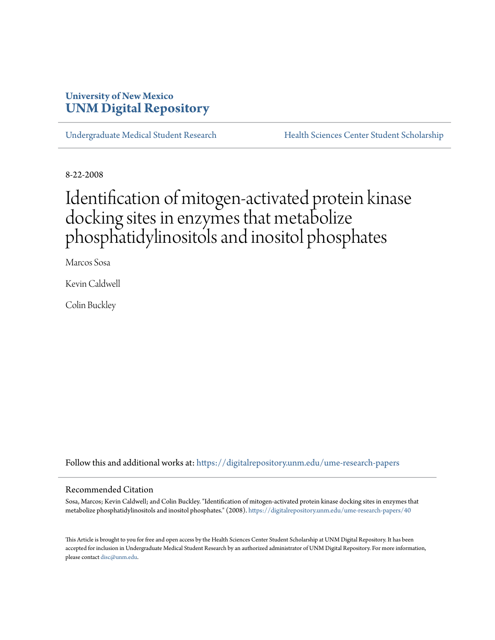### **University of New Mexico [UNM Digital Repository](https://digitalrepository.unm.edu?utm_source=digitalrepository.unm.edu%2Fume-research-papers%2F40&utm_medium=PDF&utm_campaign=PDFCoverPages)**

[Undergraduate Medical Student Research](https://digitalrepository.unm.edu/ume-research-papers?utm_source=digitalrepository.unm.edu%2Fume-research-papers%2F40&utm_medium=PDF&utm_campaign=PDFCoverPages) [Health Sciences Center Student Scholarship](https://digitalrepository.unm.edu/hsc-students?utm_source=digitalrepository.unm.edu%2Fume-research-papers%2F40&utm_medium=PDF&utm_campaign=PDFCoverPages)

8-22-2008

# Identification of mitogen-activated protein kinase docking sites in enzymes that metabolize phosphatidylinositols and inositol phosphates

Marcos Sosa

Kevin Caldwell

Colin Buckley

Follow this and additional works at: [https://digitalrepository.unm.edu/ume-research-papers](https://digitalrepository.unm.edu/ume-research-papers?utm_source=digitalrepository.unm.edu%2Fume-research-papers%2F40&utm_medium=PDF&utm_campaign=PDFCoverPages)

#### Recommended Citation

Sosa, Marcos; Kevin Caldwell; and Colin Buckley. "Identification of mitogen-activated protein kinase docking sites in enzymes that metabolize phosphatidylinositols and inositol phosphates." (2008). [https://digitalrepository.unm.edu/ume-research-papers/40](https://digitalrepository.unm.edu/ume-research-papers/40?utm_source=digitalrepository.unm.edu%2Fume-research-papers%2F40&utm_medium=PDF&utm_campaign=PDFCoverPages)

This Article is brought to you for free and open access by the Health Sciences Center Student Scholarship at UNM Digital Repository. It has been accepted for inclusion in Undergraduate Medical Student Research by an authorized administrator of UNM Digital Repository. For more information, please contact [disc@unm.edu.](mailto:disc@unm.edu)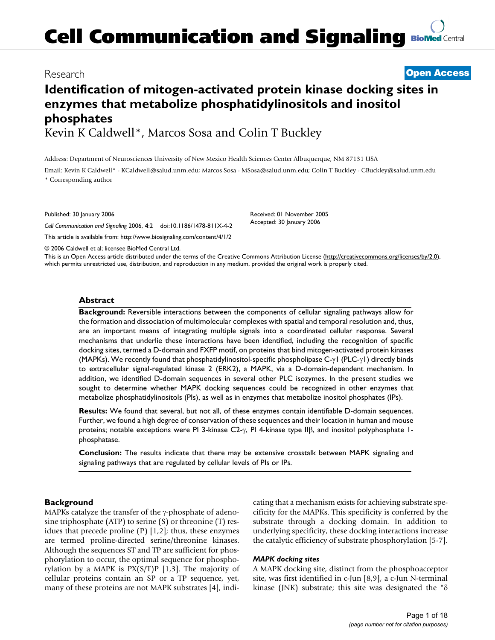# **Cell Communication and Signaling [BioMed](http://www.biomedcentral.com/) Central**

#### Research **[Open Access](http://www.biomedcentral.com/info/about/charter/)**

## **Identification of mitogen-activated protein kinase docking sites in enzymes that metabolize phosphatidylinositols and inositol phosphates** Kevin K Caldwell\*, Marcos Sosa and Colin T Buckley

Address: Department of Neurosciences University of New Mexico Health Sciences Center Albuquerque, NM 87131 USA

Email: Kevin K Caldwell\* - KCaldwell@salud.unm.edu; Marcos Sosa - MSosa@salud.unm.edu; Colin T Buckley - CBuckley@salud.unm.edu \* Corresponding author

Published: 30 January 2006

*Cell Communication and Signaling* 2006, **4**:2 doi:10.1186/1478-811X-4-2

[This article is available from: http://www.biosignaling.com/content/4/1/2](http://www.biosignaling.com/content/4/1/2)

© 2006 Caldwell et al; licensee BioMed Central Ltd.

This is an Open Access article distributed under the terms of the Creative Commons Attribution License [\(http://creativecommons.org/licenses/by/2.0\)](http://creativecommons.org/licenses/by/2.0), which permits unrestricted use, distribution, and reproduction in any medium, provided the original work is properly cited.

Received: 01 November 2005 Accepted: 30 January 2006

#### **Abstract**

**Background:** Reversible interactions between the components of cellular signaling pathways allow for the formation and dissociation of multimolecular complexes with spatial and temporal resolution and, thus, are an important means of integrating multiple signals into a coordinated cellular response. Several mechanisms that underlie these interactions have been identified, including the recognition of specific docking sites, termed a D-domain and FXFP motif, on proteins that bind mitogen-activated protein kinases (MAPKs). We recently found that phosphatidylinositol-specific phospholipase C-γ1 (PLC-γ1) directly binds to extracellular signal-regulated kinase 2 (ERK2), a MAPK, via a D-domain-dependent mechanism. In addition, we identified D-domain sequences in several other PLC isozymes. In the present studies we sought to determine whether MAPK docking sequences could be recognized in other enzymes that metabolize phosphatidylinositols (PIs), as well as in enzymes that metabolize inositol phosphates (IPs).

**Results:** We found that several, but not all, of these enzymes contain identifiable D-domain sequences. Further, we found a high degree of conservation of these sequences and their location in human and mouse proteins; notable exceptions were PI 3-kinase C2-γ, PI 4-kinase type IIβ, and inositol polyphosphate 1 phosphatase.

**Conclusion:** The results indicate that there may be extensive crosstalk between MAPK signaling and signaling pathways that are regulated by cellular levels of PIs or IPs.

#### **Background**

MAPKs catalyze the transfer of the γ-phosphate of adenosine triphosphate (ATP) to serine (S) or threonine (T) residues that precede proline  $(P)$  [[1](#page-15-0),2]; thus, these enzymes are termed proline-directed serine/threonine kinases. Although the sequences ST and TP are sufficient for phosphorylation to occur, the optimal sequence for phosphorylation by a MAPK is  $PX(S/T)P [1,3]$  $PX(S/T)P [1,3]$  $PX(S/T)P [1,3]$ . The majority of cellular proteins contain an SP or a TP sequence, yet, many of these proteins are not MAPK substrates [4], indicating that a mechanism exists for achieving substrate specificity for the MAPKs. This specificity is conferred by the substrate through a docking domain. In addition to underlying specificity, these docking interactions increase the catalytic efficiency of substrate phosphorylation [5-7].

#### *MAPK docking sites*

A MAPK docking site, distinct from the phosphoacceptor site, was first identified in c-Jun [8,9], a c-Jun N-terminal kinase (JNK) substrate; this site was designated the "δ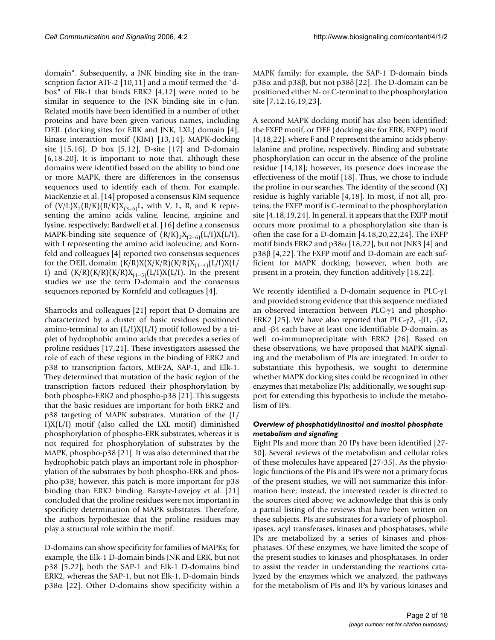domain". Subsequently, a JNK binding site in the transcription factor ATF-2 [10,11] and a motif termed the "dbox" of Elk-1 that binds ERK2 [4,12] were noted to be similar in sequence to the JNK binding site in c-Jun. Related motifs have been identified in a number of other proteins and have been given various names, including DEJL (docking sites for ERK and JNK, LXL) domain [4], kinase interaction motif (KIM) [13,14], MAPK-docking site [15,16], D box [5,12], D-site [17] and D-domain [6,18-20]. It is important to note that, although these domains were identified based on the ability to bind one or more MAPK, there are differences in the consensus sequences used to identify each of them. For example, MacKenzie et al. [14] proposed a consensus KIM sequence of  $(V/L)X_2(R/K)(R/K)X_{(3-6)}L$ , with V, L, R, and K representing the amino acids valine, leucine, arginine and lysine, respectively; Bardwell et al. [16] define a consensus MAPK-binding site sequence of  $(R/K)_2X_{(2-6)}(L/I)X(L/I)$ , with I representing the amino acid isoleucine; and Kornfeld and colleagues [4] reported two consensus sequences for the DEJL domain:  $(K/R)X(X/K/R)(K/R)X_{(1-4)}(L/I)X(L/R)$ I) and  $(K/R)(K/R)(K/R)X_{(1-5)}(L/I)X(L/I)$ . In the present studies we use the term D-domain and the consensus sequences reported by Kornfeld and colleagues [4].

Sharrocks and colleagues [21] report that D-domains are characterized by a cluster of basic residues positioned amino-terminal to an  $(L/I)X(L/I)$  motif followed by a triplet of hydrophobic amino acids that precedes a series of proline residues [17,21]. These investigators assessed the role of each of these regions in the binding of ERK2 and p38 to transcription factors, MEF2A, SAP-1, and Elk-1. They determined that mutation of the basic region of the transcription factors reduced their phosphorylation by both phospho-ERK2 and phospho-p38 [21]. This suggests that the basic residues are important for both ERK2 and p38 targeting of MAPK substrates. Mutation of the (L/  $I(X(L/I)$  motif (also called the LXL motif) diminished phosphorylation of phospho-ERK substrates, whereas it is not required for phosphorylation of substrates by the MAPK, phospho-p38 [21]. It was also determined that the hydrophobic patch plays an important role in phosphorylation of the substrates by both phospho-ERK and phospho-p38; however, this patch is more important for p38 binding than ERK2 binding. Barsyte-Lovejoy et al. [21] concluded that the proline residues were not important in specificity determination of MAPK substrates. Therefore, the authors hypothesize that the proline residues may play a structural role within the motif.

D-domains can show specificity for families of MAPKs; for example, the Elk-1 D-domain binds JNK and ERK, but not p38 [5,22]; both the SAP-1 and Elk-1 D-domains bind ERK2, whereas the SAP-1, but not Elk-1, D-domain binds  $p38α$  [22]. Other D-domains show specificity within a

MAPK family; for example, the SAP-1 D-domain binds p38α and p38β, but not p38δ [22]. The D-domain can be positioned either N- or C-terminal to the phosphorylation site [7,12,16,19,23].

A second MAPK docking motif has also been identified: the FXFP motif, or DEF (docking site for ERK, FXFP) motif [4,18,22], where F and P represent the amino acids phenylalanine and proline, respectively. Binding and substrate phosphorylation can occur in the absence of the proline residue [14,18]; however, its presence does increase the effectiveness of the motif [18]. Thus, we chose to include the proline in our searches. The identity of the second (X) residue is highly variable [4,18]. In most, if not all, proteins, the FXFP motif is C-terminal to the phosphorylation site [4,18,19,24]. In general, it appears that the FXFP motif occurs more proximal to a phosphorylation site than is often the case for a D-domain [4,18,20,22,24]. The FXFP motif binds ERK2 and  $p38\alpha$  [18,22], but not JNK3 [4] and p38β [4,22]. The FXFP motif and D-domain are each sufficient for MAPK docking; however, when both are present in a protein, they function additively [18,22].

We recently identified a D-domain sequence in PLC-γ1 and provided strong evidence that this sequence mediated an observed interaction between PLC-γ1 and phospho-ERK2 [25]. We have also reported that PLC-γ2, -β1, -β2, and -β4 each have at least one identifiable D-domain, as well co-immunoprecipitate with ERK2 [26]. Based on these observations, we have proposed that MAPK signaling and the metabolism of PIs are integrated. In order to substantiate this hypothesis, we sought to determine whether MAPK docking sites could be recognized in other enzymes that metabolize PIs; additionally, we sought support for extending this hypothesis to include the metabolism of IPs.

#### *Overview of phosphatidylinositol and inositol phosphate metabolism and signaling*

Eight PIs and more than 20 IPs have been identified [27- 30]. Several reviews of the metabolism and cellular roles of these molecules have appeared [27-35]. As the physiologic functions of the PIs and IPs were not a primary focus of the present studies, we will not summarize this information here; instead, the interested reader is directed to the sources cited above; we acknowledge that this is only a partial listing of the reviews that have been written on these subjects. PIs are substrates for a variety of phospholipases, acyl transferases, kinases and phosphatases, while IPs are metabolized by a series of kinases and phosphatases. Of these enzymes, we have limited the scope of the present studies to kinases and phosphatases. In order to assist the reader in understanding the reactions catalyzed by the enzymes which we analyzed, the pathways for the metabolism of PIs and IPs by various kinases and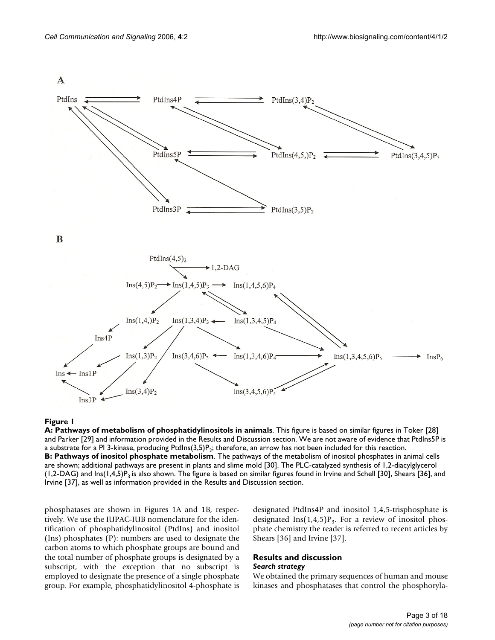

#### **Figure 1 A:** Pathways of metabolism of phosphatidylinositols in animals. **B:** Pathways of inositol phosphate metabolism

**A: Pathways of metabolism of phosphatidylinositols in animals**. This figure is based on similar figures in Toker [28] and Parker [29] and information provided in the Results and Discussion section. We are not aware of evidence that PtdIns5P is a substrate for a PI 3-kinase, producing PtdIns(3,5)P<sub>2</sub>; therefore, an arrow has not been included for this reaction. **B: Pathways of inositol phosphate metabolism**. The pathways of the metabolism of inositol phosphates in animal cells are shown; additional pathways are present in plants and slime mold [30]. The PLC-catalyzed synthesis of 1,2-diacylglycerol  $(1,2-DAG)$  and lns $(1,4,5)P<sub>3</sub>$  is also shown. The figure is based on similar figures found in Irvine and Schell [30], Shears [36], and Irvine [37], as well as information provided in the Results and Discussion section.

phosphatases are shown in Figures 1A and 1B, respectively. We use the IUPAC-IUB nomenclature for the identification of phosphatidylinositol (PtdIns) and inositol (Ins) phosphates (P): numbers are used to designate the carbon atoms to which phosphate groups are bound and the total number of phosphate groups is designated by a subscript, with the exception that no subscript is employed to designate the presence of a single phosphate group. For example, phosphatidylinositol 4-phosphate is designated PtdIns4P and inositol 1,4,5-trisphosphate is designated Ins $(1,4,5)P_3$ . For a review of inositol phosphate chemistry the reader is referred to recent articles by Shears [36] and Irvine [37].

#### **Results and discussion** *Search strategy*

We obtained the primary sequences of human and mouse kinases and phosphatases that control the phosphoryla-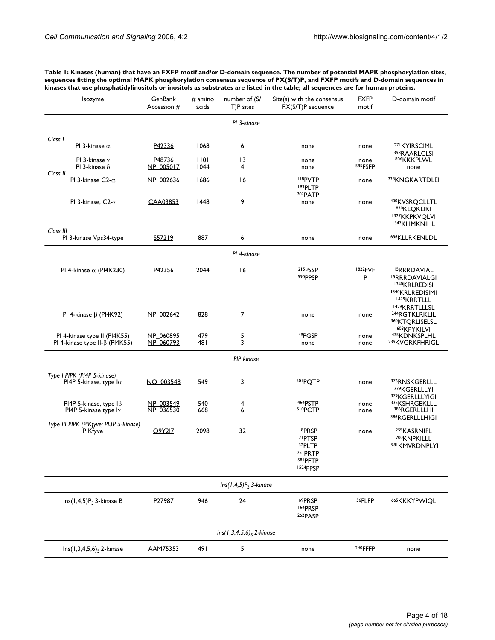| Table 1: Kinases (human) that have an FXFP motif and/or D-domain sequence. The number of potential MAPK phosphorylation sites,   |
|----------------------------------------------------------------------------------------------------------------------------------|
| sequences fitting the optimal MAPK phosphorylation consensus sequence of PX(S/T)P, and FXFP motifs and D-domain sequences in     |
| kinases that use phosphatidylinositols or inositols as substrates are listed in the table; all sequences are for human proteins. |

| Isozyme                                                               | GenBank<br>Accession # | $#$ amino<br>acids | number of (S/<br>T)P sites    | Site(s) with the consensus<br>PX(S/T)P sequence                                        | <b>FXFP</b><br>motif | D-domain motif                                                                                                             |  |
|-----------------------------------------------------------------------|------------------------|--------------------|-------------------------------|----------------------------------------------------------------------------------------|----------------------|----------------------------------------------------------------------------------------------------------------------------|--|
|                                                                       |                        |                    | PI 3-kinase                   |                                                                                        |                      |                                                                                                                            |  |
| Class I<br>PI 3-kinase $\alpha$                                       | P42336                 | 1068               | 6                             | none                                                                                   | none                 | 27 KYIRSCIML<br>398RAARLCLSI                                                                                               |  |
| PI 3-kinase $\gamma$<br>PI 3-kinase $\delta$<br>Class II              | P48736<br>NP 005017    | 1101<br>1044       | 13<br>4                       | none<br>none                                                                           | none<br>585FSFP      | 806KKKPLWL<br>none                                                                                                         |  |
| PI 3-kinase C2- $\alpha$                                              | NP 002636              | 1686               | 16                            | <sup>118</sup> PVTP<br>199PLTP<br>202PATP                                              | none                 | <sup>238</sup> KNGKARTDLEI                                                                                                 |  |
| PI 3-kinase, $C2-\gamma$                                              | CAA03853               | 1448               | 9                             | none                                                                                   | none                 | 400KVSRQCLLTL<br>830KEQKLIKI<br>1327KKPKVOLVI<br>1347KHMKNIHL                                                              |  |
| Class III<br>PI 3-kinase Vps34-type                                   | S57219                 | 887                | 6                             | none                                                                                   | none                 | 656KLLRKENLDL                                                                                                              |  |
|                                                                       |                        |                    | PI 4-kinase                   |                                                                                        |                      |                                                                                                                            |  |
| PI 4-kinase $\alpha$ (PI4K230)                                        | P42356                 | 2044               | 16                            | 215PSSP<br>590PPSP                                                                     | 1822 FVF<br>P        | <sup>15</sup> RRRDAVIAL<br><sup>15</sup> RRRDAVIALGI<br>1340KRLREDISI<br>1340KRLREDISIMI<br>1429 KRRTLLL<br>1429 KRRTLLLSL |  |
| PI 4-kinase $\beta$ (PI4K92)                                          | NP 002642              | 828                | 7                             | none                                                                                   | none                 | 244RGTKLRKLIL<br>360KTQRLISELSL<br><b>608KPYKILVI</b>                                                                      |  |
| PI 4-kinase type II (PI4K55)<br>PI 4-kinase type II- $\beta$ (PI4K55) | NP 060895<br>NP 060793 | 479<br>481         | 5<br>3                        | 49PGSP<br>none                                                                         | none<br>none         | 435KDNKSPLHL<br><sup>239</sup> KVGRKFHRIGL                                                                                 |  |
|                                                                       |                        |                    | PIP kinase                    |                                                                                        |                      |                                                                                                                            |  |
| Type I PIPK (PI4P 5-kinase)<br>PI4P 5-kinase, type $\alpha$           | NO 003548              | 549                | 3                             | 501POTP                                                                                | none                 | 376RNSKGERLLL<br>379KGERLLLYI<br><sup>379</sup> KGERLLLYIGI                                                                |  |
| PI4P 5-kinase, type $\beta$<br>PI4P 5-kinase type $I_Y$               | NP 003549<br>NP 036530 | 540<br>668         | 4<br>6                        | 464PSTP<br>510PCTP                                                                     | none<br>none         | 335KSHRGEKLLL<br>386RGERLLLHI<br>386RGERLLLHIGI                                                                            |  |
| Type III PIPK (PIKfyve; PI3P 5-kinase)<br><b>PIKfyve</b>              | O9Y2I7                 | 2098               | 32                            | <sup>18</sup> PRSP<br><sup>21</sup> PTSP<br>32PLTP<br>251 PRTP<br>581 PFTP<br>1524PPSP | none                 | 259KASRNIFL<br>700KNPKILLL<br><sup>1981</sup> KMVRDNPLYI                                                                   |  |
| $Ins(1, 4, 5)P_3$ 3-kinase                                            |                        |                    |                               |                                                                                        |                      |                                                                                                                            |  |
| $Ins(1, 4, 5)P_3$ 3-kinase B                                          | P27987                 | 946                | 24                            | 69PRSP<br>164PRSP<br>262PASP                                                           | 56FLFP               | 665KKKYPWIQL                                                                                                               |  |
|                                                                       |                        |                    | $Ins(1,3,4,5,6)_{5}$ 2-kinase |                                                                                        |                      |                                                                                                                            |  |
| $Ins(1,3,4,5,6)_{5}$ 2-kinase                                         | <b>AAM75353</b>        | 491                | 5                             | none                                                                                   | 240FFFP              | none                                                                                                                       |  |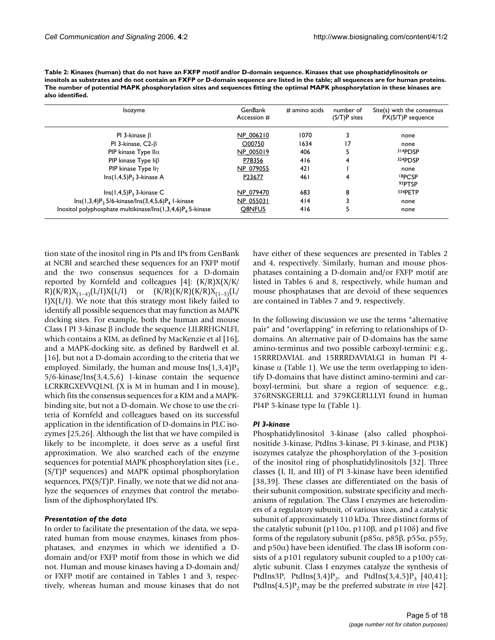| Table 2: Kinases (human) that do not have an FXFP motif and/or D-domain sequence. Kinases that use phosphatidylinositols or            |
|----------------------------------------------------------------------------------------------------------------------------------------|
| inositols as substrates and do not contain an FXFP or D-domain sequence are listed in the table; all sequences are for human proteins. |
| The number of potential MAPK phosphorylation sites and sequences fitting the optimal MAPK phosphorylation in these kinases are         |
| also identified.                                                                                                                       |

| GenBank<br>Accession # | $#$ amino acids | number of<br>$(S/T)P$ sites | Site(s) with the consensus<br>PX(S/T)P sequence |
|------------------------|-----------------|-----------------------------|-------------------------------------------------|
| NP 006210              | 1070            | 3                           | none                                            |
| O00750                 | 1634            | 17                          | none                                            |
| NP 005019              | 406             |                             | 314PDSP                                         |
| P78356                 | 416             | 4                           | 324PDSP                                         |
| NP 079055              | 421             |                             | none                                            |
| P23677                 | 46 I            | 4                           | 18PCSP                                          |
|                        |                 |                             | 93PTSP                                          |
| NP 079470              | 683             | 8                           | 334PETP                                         |
| NP 055031              | 414             |                             | none                                            |
| O8NFU5                 | 416             | 5                           | none                                            |
|                        |                 |                             |                                                 |

tion state of the inositol ring in PIs and IPs from GenBank at NCBI and searched these sequences for an FXFP motif and the two consensus sequences for a D-domain reported by Kornfeld and colleagues [4]: (K/R)X(X/K/  $R(K/R)X_{(1-4)}(L/I)X(L/I)$  or  $(K/R)(K/R)(K/R)X_{(1-5)}(L/I)$ I) $X(L/I)$ . We note that this strategy most likely failed to identify all possible sequences that may function as MAPK docking sites. For example, both the human and mouse Class I PI 3-kinase β include the sequence LILRRHGNLFI, which contains a KIM, as defined by MacKenzie et al [16], and a MAPK-docking site, as defined by Bardwell et al. [16], but not a D-domain according to the criteria that we employed. Similarly, the human and mouse  $\text{Ins}(1,3,4)P_3$ 5/6-kinase/Ins(3,4,5,6) 1-kinase contain the sequence LCRKRGXEVVQLNL (X is M in human and I in mouse), which fits the consensus sequences for a KIM and a MAPKbinding site, but not a D-domain. We chose to use the criteria of Kornfeld and colleagues based on its successful application in the identification of D-domains in PLC isozymes [25,26]. Although the list that we have compiled is likely to be incomplete, it does serve as a useful first approximation. We also searched each of the enzyme sequences for potential MAPK phosphorylation sites (i.e., (S/T)P sequences) and MAPK optimal phosphorylation sequences,  $PX(S/T)P$ . Finally, we note that we did not analyze the sequences of enzymes that control the metabolism of the diphosphorylated IPs.

#### *Presentation of the data*

In order to facilitate the presentation of the data, we separated human from mouse enzymes, kinases from phosphatases, and enzymes in which we identified a Ddomain and/or FXFP motif from those in which we did not. Human and mouse kinases having a D-domain and/ or FXFP motif are contained in Tables 1 and 3, respectively, whereas human and mouse kinases that do not

have either of these sequences are presented in Tables 2 and 4, respectively. Similarly, human and mouse phosphatases containing a D-domain and/or FXFP motif are listed in Tables 6 and 8, respectively, while human and mouse phosphatases that are devoid of these sequences are contained in Tables 7 and 9, respectively.

In the following discussion we use the terms "alternative pair" and "overlapping" in referring to relationships of Ddomains. An alternative pair of D-domains has the same amino-terminus and two possible carboxyl-termini: e.g., 15RRRDAVIAL and 15RRRDAVIALGI in human PI 4 kinase  $\alpha$  (Table 1). We use the term overlapping to identify D-domains that have distinct amino-termini and carboxyl-termini, but share a region of sequence: e.g., 376RNSKGERLLL and 379KGERLLLYI found in human PI4P 5-kinase type Iα (Table 1).

#### *PI 3-kinase*

Phosphatidylinositol 3-kinase (also called phosphoinositide 3-kinase, PtdIns 3-kinase, PI 3-kinase, and PI3K) isozymes catalyze the phosphorylation of the 3-position of the inositol ring of phosphatidylinositols [32]. Three classes (I, II, and III) of PI 3-kinase have been identified [38,39]. These classes are differentiated on the basis of their subunit composition, substrate specificity and mechanisms of regulation. The Class I enzymes are heterodimers of a regulatory subunit, of various sizes, and a catalytic subunit of approximately 110 kDa. Three distinct forms of the catalytic subunit (p110α, p110β, and p110δ) and five forms of the regulatory subunit (p85α, p85β, p55α, p55γ, and  $p50\alpha$ ) have been identified. The class IB isoform consists of a p101 regulatory subunit coupled to a p100γ catalytic subunit. Class I enzymes catalyze the synthesis of PtdIns3P, PtdIns $(3,4)P_2$ , and PtdIns $(3,4,5)P_3$  [40,41]; PtdIns $(4,5)P_2$  may be the preferred substrate *in vivo* [42].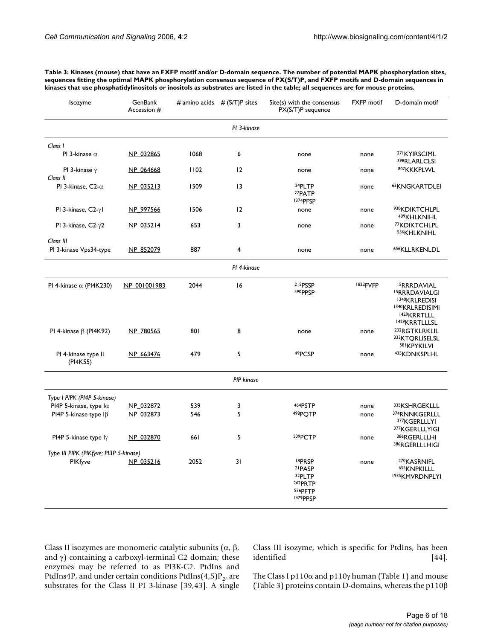**Table 3: Kinases (mouse) that have an FXFP motif and/or D-domain sequence. The number of potential MAPK phosphorylation sites, sequences fitting the optimal MAPK phosphorylation consensus sequence of PX(S/T)P, and FXFP motifs and D-domain sequences in kinases that use phosphatidylinositols or inositols as substrates are listed in the table; all sequences are for mouse proteins.**

| Isozyme                                | GenBank<br>Accession # |      | # amino acids $# (S/T)P$ sites | Site(s) with the consensus<br>PX(S/T)P sequence                                      | <b>FXFP</b> motif | D-domain motif                                                                                                            |
|----------------------------------------|------------------------|------|--------------------------------|--------------------------------------------------------------------------------------|-------------------|---------------------------------------------------------------------------------------------------------------------------|
|                                        |                        |      | PI 3-kinase                    |                                                                                      |                   |                                                                                                                           |
| Class I                                |                        |      |                                |                                                                                      |                   |                                                                                                                           |
| PI 3-kinase $\alpha$                   | NP 032865              | 1068 | 6                              | none                                                                                 | none              | 27 KYIRSCIML<br>398RLARLCLSI                                                                                              |
| PI 3-kinase $\gamma$<br>Class II       | NP 064668              | 1102 | 12                             | none                                                                                 | none              | 807KKKPLWL                                                                                                                |
| PI 3-kinase, $C2-\alpha$               | NP 035213              | 1509 | $\overline{13}$                | 24PLTP<br>27PATP<br>1374PFSP                                                         | none              | 63KNGKARTDLEI                                                                                                             |
| PI 3-kinase, C2-y1                     | NP 997566              | 1506 | 12                             | none                                                                                 | none              | 930KDIKTCHLPL<br>1409KHLKNIHL                                                                                             |
| PI 3-kinase, C2-y2                     | NP 035214              | 653  | 3                              | none                                                                                 | none              | <sup>77</sup> KDIKTCHLPL<br>556KHLKNIHL                                                                                   |
| Class III<br>PI 3-kinase Vps34-type    | NP 852079              | 887  | 4                              | none                                                                                 | none              | 656KLLRKENLDL                                                                                                             |
|                                        |                        |      | PI 4-kinase                    |                                                                                      |                   |                                                                                                                           |
| PI 4-kinase $\alpha$ (PI4K230)         | NP 001001983           | 2044 | 16                             | 215PSSP<br>590PPSP                                                                   | 1822FVFP          | <sup>15</sup> RRRDAVIAL<br><sup>15</sup> RRRDAVIALGI<br>1340KRLREDISI<br>1340KRLREDISIMI<br>1429KRRTLLL<br>1429 KRRTLLLSL |
| PI 4-kinase $\beta$ (PI4K92)           | NP 780565              | 801  | 8                              | none                                                                                 | none              | 232RGTKLRKLIL<br>333KTQRLISELSL<br>581 KPYKILVI                                                                           |
| PI 4-kinase type II<br>(PI4K55)        | NP 663476              | 479  | 5                              | 49PCSP                                                                               | none              | 435KDNKSPLHL                                                                                                              |
|                                        |                        |      | PIP kinase                     |                                                                                      |                   |                                                                                                                           |
| Type I PIPK (PI4P 5-kinase)            |                        |      |                                |                                                                                      |                   |                                                                                                                           |
| PI4P 5-kinase, type $I\alpha$          | NP 032872              | 539  | 3                              | 464PSTP                                                                              | none              | 335KSHRGEKLLL                                                                                                             |
| PI4P 5-kinase type $\beta$             | NP 032873              | 546  | 5                              | 498PQTP                                                                              | none              | 374RNNKGERLLL<br>377KGERLLLYI<br>377KGERLLLYIGI                                                                           |
| PI4P 5-kinase type $I\gamma$           | NP 032870              | 661  | 5                              | 509PCTP                                                                              | none              | 386RGERLLLHI<br>386RGERLLLHIGI                                                                                            |
| Type III PIPK (PIKfyve; PI3P 5-kinase) |                        |      |                                |                                                                                      |                   |                                                                                                                           |
| PIKfyve                                | NP 035216              | 2052 | 31                             | <sup>18</sup> PRSP<br><sup>21</sup> PASP<br>32PLTP<br>262PRTP<br>536PFTP<br>1479PPSP | none              | <sup>270</sup> KASRNIFL<br><b>655KNPKILLL</b><br>1935KMVRDNPLYI                                                           |

Class II isozymes are monomeric catalytic subunits (α, β, and  $\gamma$ ) containing a carboxyl-terminal C2 domain; these enzymes may be referred to as PI3K-C2. PtdIns and PtdIns4P, and under certain conditions PtdIns $(4,5)P_2$ , are substrates for the Class II PI 3-kinase [39,43]. A single Class III isozyme, which is specific for PtdIns, has been identified [44].

The Class I p110 $\alpha$  and p110 $\gamma$  human (Table 1) and mouse (Table 3) proteins contain D-domains, whereas the p110β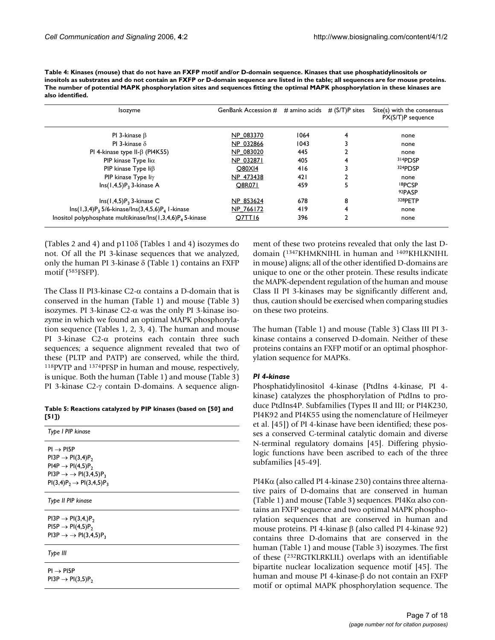**Table 4: Kinases (mouse) that do not have an FXFP motif and/or D-domain sequence. Kinases that use phosphatidylinositols or inositols as substrates and do not contain an FXFP or D-domain sequence are listed in the table; all sequences are for mouse proteins. The number of potential MAPK phosphorylation sites and sequences fitting the optimal MAPK phosphorylation in these kinases are also identified.**

| Isozyme                                                                | GenBank Accession $#$ # amino acids $#$ (S/T)P sites |      |   | Site(s) with the consensus<br>PX(S/T)P sequence |
|------------------------------------------------------------------------|------------------------------------------------------|------|---|-------------------------------------------------|
| PI 3-kinase $\beta$                                                    | NP 083370                                            | 1064 | 4 | none                                            |
| PI 3-kinase $\delta$                                                   | NP 032866                                            | 1043 |   | none                                            |
| PI 4-kinase type II- $\beta$ (PI4K55)                                  | NP 083020                                            | 445  |   | none                                            |
| PIP kinase Type li $\alpha$                                            | NP 032871                                            | 405  | 4 | 314PDSP                                         |
| PIP kinase Type $\text{li}\beta$                                       | <b>Q80XI4</b>                                        | 416  |   | 324PDSP                                         |
| PIP kinase Type $Iiy$                                                  | NP 473438                                            | 421  | 2 | none                                            |
| $Ins(1, 4, 5)P_3$ 3-kinase A                                           | O8R071                                               | 459  | 5 | <sup>18</sup> PCSP<br>92PASP                    |
| $Ins(1,4,5)P_3$ 3-kinase C                                             | NP 853624                                            | 678  | 8 | 328PETP                                         |
| $\ln s(1,3,4)P_3 5/6$ -kinase/ $\ln s(3,4,5,6)P_4 1$ -kinase           | NP 766172                                            | 419  | 4 | none                                            |
| Inositol polyphosphate multikinase/Ins(1,3,4,6)P <sub>4</sub> 5-kinase | O7TT16                                               | 396  |   | none                                            |

(Tables 2 and 4) and p110δ (Tables 1 and 4) isozymes do not. Of all the PI 3-kinase sequences that we analyzed, only the human PI 3-kinase δ (Table 1) contains an FXFP motif (585FSFP).

The Class II PI3-kinase C2- $\alpha$  contains a D-domain that is conserved in the human (Table 1) and mouse (Table 3) isozymes. PI 3-kinase C2-α was the only PI 3-kinase isozyme in which we found an optimal MAPK phosphorylation sequence (Tables 1, 2, 3, 4). The human and mouse PI 3-kinase C2-α proteins each contain three such sequences; a sequence alignment revealed that two of these (PLTP and PATP) are conserved, while the third, 118PVTP and 1374PFSP in human and mouse, respectively, is unique. Both the human (Table 1) and mouse (Table 3) PI 3-kinase C2-γ contain D-domains. A sequence align-

#### **Table 5: Reactions catalyzed by PIP kinases (based on [50] and [51])**

| Type I PIP kinase                           |
|---------------------------------------------|
| $PI \rightarrow PISP$                       |
| $PI3P \rightarrow PI(3,4)P_2$               |
| $PI4P \rightarrow PI(4,5)P_2$               |
| $PI3P \rightarrow \rightarrow PI(3,4,5)P_3$ |
| $PI(3,4)P_2 \rightarrow PI(3,4,5)P_3$       |
| Type II PIP kinase                          |
| $PI3P \rightarrow PI(3,4,)P_2$              |
| $PI5P \rightarrow PI(4,5)P_2$               |
| $PI3P \rightarrow \rightarrow PI(3,4,5)P_3$ |
| Type III                                    |
| $PI \rightarrow PISP$                       |
| $PI3P \rightarrow PI(3,5)P_2$               |

ment of these two proteins revealed that only the last Ddomain (1347KHMKNIHL in human and 1409KHLKNIHL in mouse) aligns; all of the other identified D-domains are unique to one or the other protein. These results indicate the MAPK-dependent regulation of the human and mouse Class II PI 3-kinases may be significantly different and, thus, caution should be exercised when comparing studies on these two proteins.

The human (Table 1) and mouse (Table 3) Class III PI 3 kinase contains a conserved D-domain. Neither of these proteins contains an FXFP motif or an optimal phosphorylation sequence for MAPKs.

#### *PI 4-kinase*

Phosphatidylinositol 4-kinase (PtdIns 4-kinase, PI 4 kinase) catalyzes the phosphorylation of PtdIns to produce PtdIns4P. Subfamilies (Types II and III; or PI4K230, PI4K92 and PI4K55 using the nomenclature of Heilmeyer et al. [45]) of PI 4-kinase have been identified; these posses a conserved C-terminal catalytic domain and diverse N-terminal regulatory domains [45]. Differing physiologic functions have been ascribed to each of the three subfamilies [45-49].

PI4Kα (also called PI 4-kinase 230) contains three alternative pairs of D-domains that are conserved in human (Table 1) and mouse (Table 3) sequences. PI4Kα also contains an FXFP sequence and two optimal MAPK phosphorylation sequences that are conserved in human and mouse proteins. PI 4-kinase β (also called PI 4-kinase 92) contains three D-domains that are conserved in the human (Table 1) and mouse (Table 3) isozymes. The first of these (232RGTKLRKLIL) overlaps with an identifiable bipartite nuclear localization sequence motif [45]. The human and mouse PI 4-kinase-β do not contain an FXFP motif or optimal MAPK phosphorylation sequence. The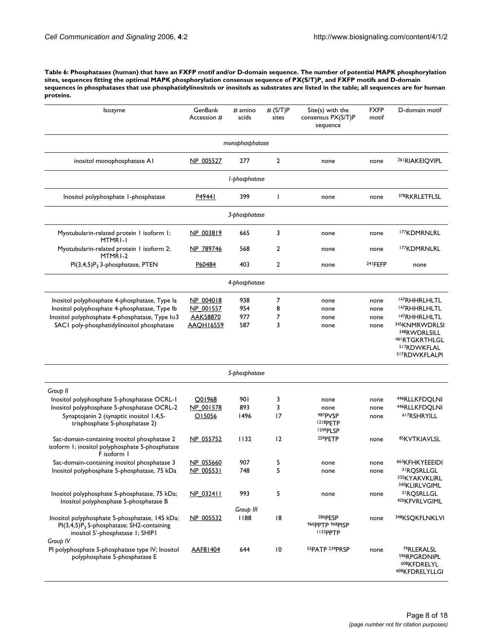**Table 6: Phosphatases (human) that have an FXFP motif and/or D-domain sequence. The number of potential MAPK phosphorylation sites, sequences fitting the optimal MAPK phosphorylation consensus sequence of PX(S/T)P, and FXFP motifs and D-domain sequences in phosphatases that use phosphatidylinositols or inositols as substrates are listed in the table; all sequences are for human proteins.**

| Isozyme                                                                                                                                                                                               | GenBank<br>Accession #                                        | # amino<br>acids         | # (S/T)P<br>sites | Site(s) with the<br>consensus PX(S/T)P<br>sequence | <b>FXFP</b><br>motif         | D-domain motif                                                                                                                                                                 |  |  |  |
|-------------------------------------------------------------------------------------------------------------------------------------------------------------------------------------------------------|---------------------------------------------------------------|--------------------------|-------------------|----------------------------------------------------|------------------------------|--------------------------------------------------------------------------------------------------------------------------------------------------------------------------------|--|--|--|
| monophosphatase                                                                                                                                                                                       |                                                               |                          |                   |                                                    |                              |                                                                                                                                                                                |  |  |  |
| inositol monophosphatase AI                                                                                                                                                                           | NP 005527                                                     | 277                      | $\overline{2}$    | none                                               | none                         | <sup>261</sup> RIAKEIQVIPL                                                                                                                                                     |  |  |  |
| l-phosphatase                                                                                                                                                                                         |                                                               |                          |                   |                                                    |                              |                                                                                                                                                                                |  |  |  |
| Inositol polyphosphate I-phosphatase                                                                                                                                                                  | <u>P49441</u>                                                 | 399                      | T                 | none                                               | none                         | 378RKRLETFLSL                                                                                                                                                                  |  |  |  |
|                                                                                                                                                                                                       |                                                               | 3-phosphatase            |                   |                                                    |                              |                                                                                                                                                                                |  |  |  |
| Myotubularin-related protein I isoform I;<br>MTMRI-I                                                                                                                                                  | NP 003819                                                     | 665                      | 3                 | none                                               | none                         | <sup>177</sup> KDMRNLRL                                                                                                                                                        |  |  |  |
| Myotubularin-related protein I isoform 2;<br>MTMR <sub>1-2</sub>                                                                                                                                      | NP 789746                                                     | 568                      | $\overline{2}$    | none                                               | none                         | <sup>177</sup> KDMRNLRL                                                                                                                                                        |  |  |  |
| $PI(3,4,5)P_3$ 3-phosphatase, PTEN                                                                                                                                                                    | P60484                                                        | 403                      | $\overline{2}$    | none                                               | 241 FEFP                     | none                                                                                                                                                                           |  |  |  |
|                                                                                                                                                                                                       |                                                               | 4-phosphatase            |                   |                                                    |                              |                                                                                                                                                                                |  |  |  |
| Inositol polyphosphate 4-phosphatase, Type la<br>Inositol polyphosphate 4-phosphatase, Type Ib<br>Inositol polyphosphate 4-phosphatase, Type $\alpha$ 3<br>SAC1 poly-phosphatidylinositol phosphatase | NP 004018<br>NP 001557<br><b>AAK58870</b><br><u>AAOH16559</u> | 938<br>954<br>977<br>587 | 7<br>8<br>7<br>3  | none<br>none<br>none<br>none                       | none<br>none<br>none<br>none | <sup>147</sup> RHHRLHLTL<br><sup>147</sup> RHHRLHLTL<br><sup>147</sup> RHHRLHLTL<br>345KNMRWDRLSI<br>348RWDRLSILL<br>461RTGKRTHLGL<br>517RDWKFLAL<br><sup>517</sup> RDWKFLALPI |  |  |  |
|                                                                                                                                                                                                       |                                                               | 5-phosphatase            |                   |                                                    |                              |                                                                                                                                                                                |  |  |  |
| Group II                                                                                                                                                                                              |                                                               |                          |                   |                                                    |                              |                                                                                                                                                                                |  |  |  |
| Inositol polyphosphate 5-phosphatase OCRL-1                                                                                                                                                           | O01968                                                        | 901                      | 3                 | none                                               | none                         | 446RLLKFDQLNI                                                                                                                                                                  |  |  |  |
| Inositol polyphosphate 5-phosphatase OCRL-2                                                                                                                                                           | NP 001578                                                     | 893                      | 3                 | none                                               | none                         | 446RLLKFDQLNI                                                                                                                                                                  |  |  |  |
| Synaptojanin 2 (synaptic inositol 1,4,5-<br>trisphosphate 5-phosphatase 2)                                                                                                                            | O15056                                                        | 1496                     | 17                | 987PVSP<br>1218PETP<br>1249PLSP                    | none                         | 617RSHRYILL                                                                                                                                                                    |  |  |  |
| Sac-domain-containing inositol phosphatase 2<br>isoform I; inositol polyphosphate 5-phosphatase<br>F isoform 1                                                                                        | NP 055752                                                     | 1132                     | 12                | 259PETP                                            | none                         | 85KVTKIAVLSL                                                                                                                                                                   |  |  |  |
| Sac-domain-containing inositol phosphatase 3                                                                                                                                                          | NP 055660                                                     | 907                      | 5                 | none                                               | none                         | 663KFHKYEEEIDI                                                                                                                                                                 |  |  |  |
| Inositol polyphosphate 5-phosphatase, 75 kDa                                                                                                                                                          | NP_005531                                                     | 748                      | 5                 | none                                               | none                         | <sup>31</sup> RQSRLLGL<br><sup>335</sup> KYAKVKLIRL<br>340KLIRLVGIML                                                                                                           |  |  |  |
| Inositol polyphosphate 5-phosphatase, 75 kDa;<br>Inositol polyphosphate 5-phosphatase B                                                                                                               | NP 032411                                                     | 993                      | 5                 | none                                               | none                         | <sup>31</sup> RQSRLLGL<br><sup>420</sup> KFVRLVGIML                                                                                                                            |  |  |  |
|                                                                                                                                                                                                       |                                                               | Group III                |                   |                                                    |                              |                                                                                                                                                                                |  |  |  |
| Inositol polyphosphate 5-phosphatase, 145 kDa;<br>$PI(3,4,5)P_3$ 5-phosphatase; SH2-containing<br>inositol 5'-phosphatase 1; SHIPI<br>Group IV                                                        | NP_005532                                                     | 88                       | 18                | 286PESP<br>960PPTP 968PISP<br>1133PPTP             | none                         | 348KSQKFLNKLVI                                                                                                                                                                 |  |  |  |
| PI polyphosphate 5-phosphatase type IV; Inositol<br>polyphosphate 5-phosphatase E                                                                                                                     | AAF81404                                                      | 644                      | 10                | 55PATP 239PRSP                                     | none                         | <sup>79</sup> RLERALSL<br>596RPGRDNIPL<br>608KFDRELYL<br>608KFDRELYLLGI                                                                                                        |  |  |  |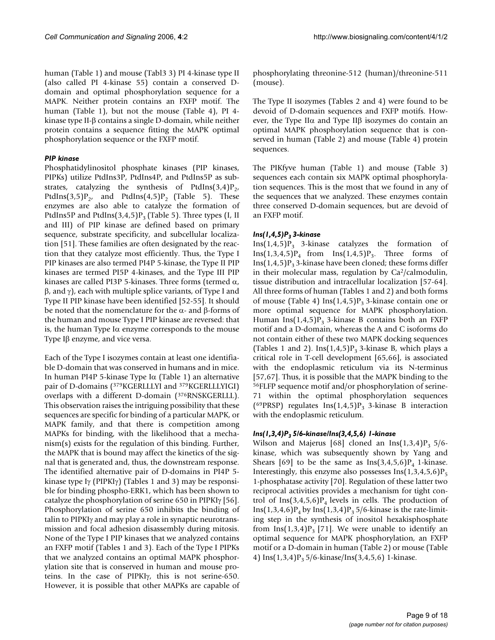human (Table 1) and mouse (Tabl3 3) PI 4-kinase type II (also called PI 4-kinase 55) contain a conserved Ddomain and optimal phosphorylation sequence for a MAPK. Neither protein contains an FXFP motif. The human (Table 1), but not the mouse (Table 4), PI 4 kinase type II-β contains a single D-domain, while neither protein contains a sequence fitting the MAPK optimal phosphorylation sequence or the FXFP motif.

#### *PIP kinase*

Phosphatidylinositol phosphate kinases (PIP kinases, PIPKs) utilize PtdIns3P, PtdIns4P, and PtdIns5P as substrates, catalyzing the synthesis of PtdIns $(3,4)P_2$ , PtdIns(3,5) $P_2$ , and PtdIns(4,5) $P_2$  (Table 5). These enzymes are also able to catalyze the formation of PtdIns5P and PtdIns $(3,4,5)P_3$  (Table 5). Three types (I, II and III) of PIP kinase are defined based on primary sequence, substrate specificity, and subcellular localization [51]. These families are often designated by the reaction that they catalyze most efficiently. Thus, the Type I PIP kinases are also termed PI4P 5-kinase, the Type II PIP kinases are termed PI5P 4-kinases, and the Type III PIP kinases are called PI3P 5-kinases. Three forms (termed α,  $(β, and γ)$ , each with multiple splice variants, of Type I and Type II PIP kinase have been identified [52-55]. It should be noted that the nomenclature for the  $\alpha$ - and  $\beta$ -forms of the human and mouse Type I PIP kinase are reversed: that is, the human Type Iα enzyme corresponds to the mouse Type Iβ enzyme, and vice versa.

Each of the Type I isozymes contain at least one identifiable D-domain that was conserved in humans and in mice. In human PI4P 5-kinase Type Iα (Table 1) an alternative pair of D-domains (379KGERLLLYI and 379KGERLLLYIGI) overlaps with a different D-domain (376RNSKGERLLL). This observation raises the intriguing possibility that these sequences are specific for binding of a particular MAPK, or MAPK family, and that there is competition among MAPKs for binding, with the likelihood that a mechanism(s) exists for the regulation of this binding. Further, the MAPK that is bound may affect the kinetics of the signal that is generated and, thus, the downstream response. The identified alternative pair of D-domains in PI4P 5 kinase type Iγ (PIPKIγ) (Tables 1 and 3) may be responsible for binding phospho-ERK1, which has been shown to catalyze the phosphorylation of serine 650 in PIPKIγ [56]. Phosphorylation of serine 650 inhibits the binding of talin to PIPKIγ and may play a role in synaptic neurotransmission and focal adhesion disassembly during mitosis. None of the Type I PIP kinases that we analyzed contains an FXFP motif (Tables 1 and 3). Each of the Type I PIPKs that we analyzed contains an optimal MAPK phosphorylation site that is conserved in human and mouse proteins. In the case of PIPKIγ, this is not serine-650. However, it is possible that other MAPKs are capable of phosphorylating threonine-512 (human)/threonine-511 (mouse).

The Type II isozymes (Tables 2 and 4) were found to be devoid of D-domain sequences and FXFP motifs. However, the Type IIα and Type IIβ isozymes do contain an optimal MAPK phosphorylation sequence that is conserved in human (Table 2) and mouse (Table 4) protein sequences.

The PIKfyve human (Table 1) and mouse (Table 3) sequences each contain six MAPK optimal phosphorylation sequences. This is the most that we found in any of the sequences that we analyzed. These enzymes contain three conserved D-domain sequences, but are devoid of an FXFP motif.

#### *Ins(1,4,5)P3 3-kinase*

 $\text{Ins}(1,4,5)P_3$  3-kinase catalyzes the formation of  $\text{Ins}(1,3,4,5)P_4$  from  $\text{Ins}(1,4,5)P_3$ . Three forms of  $Ins(1,3,4,5)P_4$  from  $Ins(1,4,5)P_3$ . Three forms Ins $(1,4,5)P_3$  3-kinase have been cloned; these forms differ in their molecular mass, regulation by Ca2/calmodulin, tissue distribution and intracellular localization [57-64]. All three forms of human (Tables 1 and 2) and both forms of mouse (Table 4) Ins $(1,4,5)P_3$  3-kinase contain one or more optimal sequence for MAPK phosphorylation. Human Ins $(1,4,5)P_3$  3-kinase B contains both an FXFP motif and a D-domain, whereas the A and C isoforms do not contain either of these two MAPK docking sequences (Tables 1 and 2). Ins $(1,4,5)P_3$  3-kinase B, which plays a critical role in T-cell development [65,66], is associated with the endoplasmic reticulum via its N-terminus [57,67]. Thus, it is possible that the MAPK binding to the 56FLFP sequence motif and/or phosphorylation of serine-71 within the optimal phosphorylation sequences ( $^{69}$ PRSP) regulates Ins(1,4,5) $P_3$  3-kinase B interaction with the endoplasmic reticulum.

#### *Ins(1,3,4)P3 5/6-kinase/Ins(3,4,5,6) 1-kinase*

Wilson and Majerus [68] cloned an Ins $(1,3,4)P_3$  5/6kinase, which was subsequently shown by Yang and Shears [69] to be the same as  $Ins(3,4,5,6)P_4$  1-kinase. Interestingly, this enzyme also possesses  $\text{Ins}(1,3,4,5,6)P_5$ 1-phosphatase activity [70]. Regulation of these latter two reciprocal activities provides a mechanism for tight control of Ins $(3,4,5,6)P_4$  levels in cells. The production of Ins $(1,3,4,6)P_4$  by Ins $(1,3,4)P_3$  5/6-kinase is the rate-limiting step in the synthesis of inositol hexakisphosphate from Ins $(1,3,4)P_3$  [71]. We were unable to identify an optimal sequence for MAPK phosphorylation, an FXFP motif or a D-domain in human (Table 2) or mouse (Table 4) Ins $(1,3,4)P_3$  5/6-kinase/Ins $(3,4,5,6)$  1-kinase.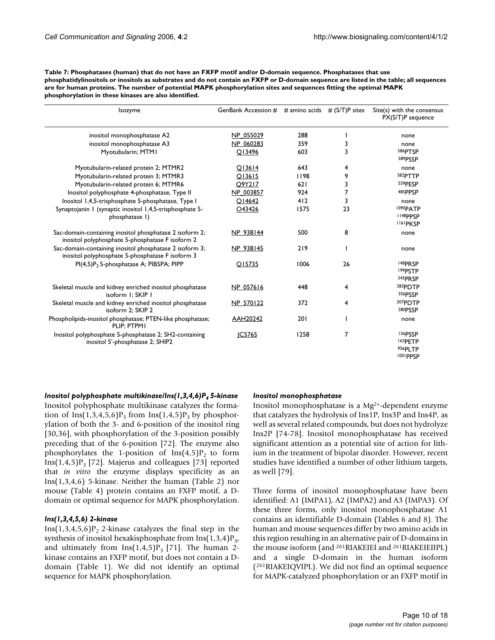**Table 7: Phosphatases (human) that do not have an FXFP motif and/or D-domain sequence. Phosphatases that use phosphatidylinositols or inositols as substrates and do not contain an FXFP or D-domain sequence are listed in the table; all sequences are for human proteins. The number of potential MAPK phosphorylation sites and sequences fitting the optimal MAPK phosphorylation in these kinases are also identified.**

| Isozyme                                                                                                     | GenBank Accession $#$ # amino acids |      | $# (S/T)P$ sites | Site(s) with the consensus<br>PX(S/T)P sequence    |
|-------------------------------------------------------------------------------------------------------------|-------------------------------------|------|------------------|----------------------------------------------------|
| inositol monophosphatase A2                                                                                 | NP 055029                           | 288  |                  | none                                               |
| inositol monophosphatase A3                                                                                 | NP 060283                           | 359  | 3                | none                                               |
| Myotubularin; MTMI                                                                                          | O13496                              | 603  | 3                | 586PTSP<br>589PSSP                                 |
| Myotubularin-related protein 2; MTMR2                                                                       | O13614                              | 643  | 4                | none                                               |
| Myotubularin-related protein 3; MTMR3                                                                       | O13615                              | 1198 | 9                | 582PTTP                                            |
| Myotubularin-related protein 6; MTMR6                                                                       | O9Y217                              | 621  | 3                | 559PESP                                            |
| Inositol polyphosphate 4-phosphatase, Type II                                                               | NP 003857                           | 924  | 7                | 485PPSP                                            |
| Inositol 1,4,5-trisphosphate 5-phosphatase, Type I                                                          | O14642                              | 412  | 3                | none                                               |
| Synaptojanin I (synaptic inositol 1,4,5-trisphosphate 5-<br>phosphatase 1)                                  | O43426                              | 1575 | 23               | 1090PATP<br><b>1148PPSP</b><br><b>II6IPKSP</b>     |
| Sac-domain-containing inositol phosphatase 2 isoform 2;<br>inositol polyphosphate 5-phosphatase F isoform 2 | NP 938144                           | 500  | 8                | none                                               |
| Sac-domain-containing inositol phosphatase 2 isoform 3;<br>inositol polyphosphate 5-phosphatase F isoform 3 | NP 938145                           | 219  |                  | none                                               |
| PI(4,5)P <sub>2</sub> 5-phosphatase A; PIB5PA; PIPP                                                         | O15735                              | 1006 | 26               | 148PRSP<br>199PSTP<br>345PRSP                      |
| Skeletal muscle and kidney enriched inositol phosphatase<br>isoform I: SKIP I                               | NP 057616                           | 448  | 4                | 283PDTP<br>356PSSP                                 |
| Skeletal muscle and kidney enriched inositol phosphatase<br>isoform 2: SKIP 2                               | NP 570122                           | 372  | 4                | 207PDTP<br>280PSSP                                 |
| Phospholipids-inositol phosphatase; PTEN-like phosphatase;<br>PLIP: PTPMI                                   | AAH20242                            | 201  |                  | none                                               |
| Inositol polyphosphate 5-phosphatase 2; SH2-containing<br>inositol 5'-phosphatase 2; SHIP2                  | IC5765                              | 1258 | 7                | 156PSSP<br><b>163PFTP</b><br>956PI TP<br>1001 PPSP |

*Inositol polyphosphate multikinase/Ins(1,3,4,6)P4 5-kinase*

Inositol polyphosphate multikinase catalyzes the formation of Ins $(1,3,4,5,6)P_5$  from Ins $(1,4,5)P_3$  by phosphorylation of both the 3- and 6-position of the inositol ring [30,36], with phosphorylation of the 3-position possibly preceding that of the 6-position [72]. The enzyme also phosphorylates the 1-position of  $Ins(4,5)P_2$  to form Ins $(1,4,5)$ P<sub>3</sub> [72]. Majerus and colleagues [73] reported that *in vitro* the enzyme displays specificity as an Ins(1,3,4,6) 5-kinase. Neither the human (Table 2) nor mouse (Table 4) protein contains an FXFP motif, a Ddomain or optimal sequence for MAPK phosphorylation.

#### *Ins(1,3,4,5,6) 2-kinase*

Ins $(1,3,4,5,6)$ P<sub>2</sub> 2-kinase catalyzes the final step in the synthesis of inositol hexakisphosphate from  $\text{Ins}(1,3,4)P_3$ , and ultimately from  $\text{Ins}(1,4,5)P_3$  [71]. The human 2kinase contains an FXFP motif, but does not contain a Ddomain (Table 1). We did not identify an optimal sequence for MAPK phosphorylation.

#### *Inositol monophosphatase*

Inositol monophosphatase is a Mg2+-dependent enzyme that catalyzes the hydrolysis of Ins1P, Ins3P and Ins4P, as well as several related compounds, but does not hydrolyze Ins2P [74-78]. Inositol monophosphatase has received significant attention as a potential site of action for lithium in the treatment of bipolar disorder. However, recent studies have identified a number of other lithium targets, as well [79].

Three forms of inositol monophosphatase have been identified: A1 (IMPA1), A2 (IMPA2) and A3 (IMPA3). Of these three forms, only inositol monophosphatase A1 contains an identifiable D-domain (Tables 6 and 8). The human and mouse sequences differ by two amino acids in this region resulting in an alternative pair of D-domains in the mouse isoform (and 261RIAKEIEI and 261RIAKEIEIIPL) and a single D-domain in the human isoform (261RIAKEIQVIPL). We did not find an optimal sequence for MAPK-catalyzed phosphorylation or an FXFP motif in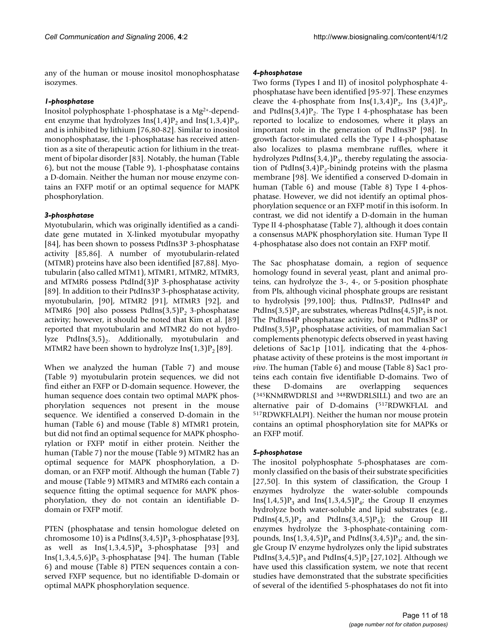any of the human or mouse inositol monophosphatase isozymes.

#### *1-phosphatase*

Inositol polyphosphate 1-phosphatase is a Mg2+-dependent enzyme that hydrolyzes Ins $(1,4)P_2$  and Ins $(1,3,4)P_3$ , and is inhibited by lithium [76,80-82]. Similar to inositol monophosphatase, the 1-phosphatase has received attention as a site of therapeutic action for lithium in the treatment of bipolar disorder [83]. Notably, the human (Table 6), but not the mouse (Table 9), 1-phosphatase contains a D-domain. Neither the human nor mouse enzyme contains an FXFP motif or an optimal sequence for MAPK phosphorylation.

#### *3-phosphatase*

Myotubularin, which was originally identified as a candidate gene mutated in X-linked myotubular myopathy [84], has been shown to possess PtdIns3P 3-phosphatase activity [85,86]. A number of myotubularin-related (MTMR) proteins have also been identified [87,88]. Myotubularin (also called MTM1), MTMR1, MTMR2, MTMR3, and MTMR6 possess PtdInd(3)P 3-phosphatase activity [89]. In addition to their PtdIns3P 3-phosphatase activity, myotubularin, [90], MTMR2 [91], MTMR3 [92], and MTMR6 [90] also possess PtdIns $(3,5)P_2$  3-phosphatase activity; however, it should be noted that Kim et al. [89] reported that myotubularin and MTMR2 do not hydrolyze PtdIns $(3,5)_2$ . Additionally, myotubularin and MTMR2 have been shown to hydrolyze Ins $(1,3)P_2$  [89].

When we analyzed the human (Table 7) and mouse (Table 9) myotubularin protein sequences, we did not find either an FXFP or D-domain sequence. However, the human sequence does contain two optimal MAPK phosphorylation sequences not present in the mouse sequence. We identified a conserved D-domain in the human (Table 6) and mouse (Table 8) MTMR1 protein, but did not find an optimal sequence for MAPK phosphorylation or FXFP motif in either protein. Neither the human (Table 7) nor the mouse (Table 9) MTMR2 has an optimal sequence for MAPK phosphorylation, a Ddoman, or an FXFP motif. Although the human (Table 7) and mouse (Table 9) MTMR3 and MTMR6 each contain a sequence fitting the optimal sequence for MAPK phosphorylation, they do not contain an identifiable Ddomain or FXFP motif.

PTEN (phosphatase and tensin homologue deleted on chromosome 10) is a PtdIns $(3,4,5)P_3$  3-phosphatase [93], as well as  $Ins(1,3,4,5)P_4$  3-phosphatase [93] and Ins(1,3,4,5,6) $P_5$  3-phosphatase [94]. The human (Table 6) and mouse (Table 8) PTEN sequences contain a conserved FXFP sequence, but no identifiable D-domain or optimal MAPK phosphorylation sequence.

#### *4-phosphatase*

Two forms (Types I and II) of inositol polyphosphate 4 phosphatase have been identified [95-97]. These enzymes cleave the 4-phosphate from  $Ins(1,3,4)P_2$ , Ins  $(3,4)P_2$ , and PtdIns $(3,4)P_2$ . The Type I 4-phosphatase has been reported to localize to endosomes, where it plays an important role in the generation of PtdIns3P [98]. In growth factor-stimulated cells the Type I 4-phosphatase also localizes to plasma membrane ruffles, where it hydrolyzes PtdIns $(3,4)P_2$ , thereby regulating the association of PtdIns $(3,4)P_2$ -binindg proteins with the plasma membrane [98]. We identified a conserved D-domain in human (Table 6) and mouse (Table 8) Type I 4-phosphatase. However, we did not identify an optimal phosphorylation sequence or an FXFP motif in this isoform. In contrast, we did not identify a D-domain in the human Type II 4-phosphatase (Table 7), although it does contain a consensus MAPK phosphorylation site. Human Type II 4-phosphatase also does not contain an FXFP motif.

The Sac phosphatase domain, a region of sequence homology found in several yeast, plant and animal proteins, can hydrolyze the 3-, 4-, or 5-position phosphate from PIs, although vicinal phosphate groups are resistant to hydrolysis [99,100]; thus, PtdIns3P, PtdIns4P and PtdIns(3,5) $P_2$  are substrates, whereas PtdIns(4,5) $P_2$  is not. The PtdIns4P phosphatase activity, but not PtdIns3P or PtdIns $(3,5)$ P<sub>2</sub> phosphatase activities, of mammalian Sac1 complements phenotypic defects observed in yeast having deletions of Sac1p [101], indicating that the 4-phosphatase activity of these proteins is the most important *in vivo*. The human (Table 6) and mouse (Table 8) Sac1 proteins each contain five identifiable D-domains. Two of these D-domains are overlapping sequences (345KNMRWDRLSI and 348RWDRLSILL) and two are an alternative pair of D-domains (517RDWKFLAL and 517RDWKFLALPI). Neither the human nor mouse protein contains an optimal phosphorylation site for MAPKs or an FXFP motif.

#### *5-phosphatase*

The inositol polyphosphate 5-phosphatases are commonly classified on the basis of their substrate specificities [27,50]. In this system of classification, the Group I enzymes hydrolyze the water-soluble compounds  $Ins(1,4,5)P_3$  and  $Ins(1,3,4,5)P_4$ ; the Group II enzymes hydrolyze both water-soluble and lipid substrates (e.g., PtdIns $(4,5)$ , P<sub>2</sub> and PtdIns $(3,4,5)$ P<sub>3</sub>); the Group III enzymes hydrolyze the 3-phosphate-containing compounds, Ins $(1,3,4,5)P_4$  and PtdIns $(3,4,5)P_3$ ; and, the single Group IV enzyme hydrolyzes only the lipid substrates PtdIns(3,4,5) $P_3$  and PtdIns(4,5) $P_2$  [27,102]. Although we have used this classification system, we note that recent studies have demonstrated that the substrate specificities of several of the identified 5-phosphatases do not fit into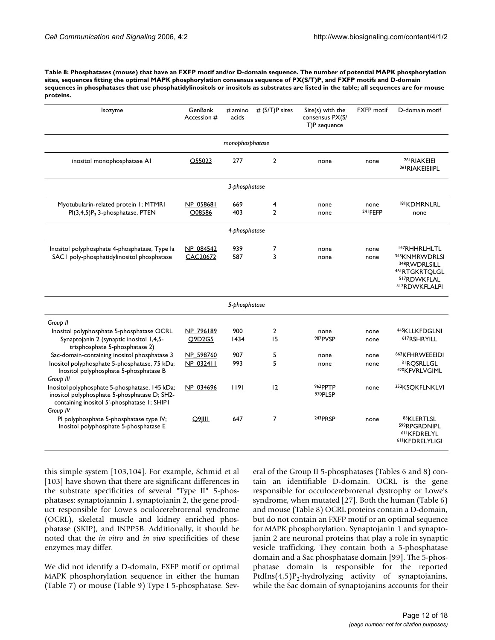**Table 8: Phosphatases (mouse) that have an FXFP motif and/or D-domain sequence. The number of potential MAPK phosphorylation sites, sequences fitting the optimal MAPK phosphorylation consensus sequence of PX(S/T)P, and FXFP motifs and D-domain sequences in phosphatases that use phosphatidylinositols or inositols as substrates are listed in the table; all sequences are for mouse proteins.**

| Isozyme                                                                                                                                                                                                                                                                                                                                                                                                                                                  | GenBank<br>Accession #                                     | $#$ amino<br>acids                | # (S/T)P sites                       | Site(s) with the<br>consensus PX(S/<br>T)P sequence   | <b>FXFP</b> motif                    | D-domain motif                                                                                             |  |  |
|----------------------------------------------------------------------------------------------------------------------------------------------------------------------------------------------------------------------------------------------------------------------------------------------------------------------------------------------------------------------------------------------------------------------------------------------------------|------------------------------------------------------------|-----------------------------------|--------------------------------------|-------------------------------------------------------|--------------------------------------|------------------------------------------------------------------------------------------------------------|--|--|
| monophosphatase                                                                                                                                                                                                                                                                                                                                                                                                                                          |                                                            |                                   |                                      |                                                       |                                      |                                                                                                            |  |  |
| inositol monophosphatase AI                                                                                                                                                                                                                                                                                                                                                                                                                              | O55023                                                     | 277                               | $\overline{2}$                       | none                                                  | none                                 | <sup>26</sup> RIAKEIEI<br>261RIAKEIEIIPL                                                                   |  |  |
|                                                                                                                                                                                                                                                                                                                                                                                                                                                          |                                                            | 3-phosphatase                     |                                      |                                                       |                                      |                                                                                                            |  |  |
| Myotubularin-related protein I; MTMRI<br>PI(3,4,5)P <sub>3</sub> 3-phosphatase, PTEN                                                                                                                                                                                                                                                                                                                                                                     | NP 058681<br>O08586                                        | 669<br>403                        | 4<br>$\mathbf{2}$                    | none<br>none                                          | none<br>241 FEFP                     | <sup>181</sup> KDMRNLRL<br>none                                                                            |  |  |
|                                                                                                                                                                                                                                                                                                                                                                                                                                                          |                                                            | 4-phosphatase                     |                                      |                                                       |                                      |                                                                                                            |  |  |
| Inositol polyphosphate 4-phosphatase, Type la<br>SACI poly-phosphatidylinositol phosphatase                                                                                                                                                                                                                                                                                                                                                              | NP 084542<br>CAC20672                                      | 939<br>587                        | 7<br>3                               | none<br>none                                          | none<br>none                         | <sup>147</sup> RHHRLHLTL<br>345KNMRWDRLSI<br>348RWDRLSILL<br>46 RTGKRTOLGL<br>517RDWKFLAL<br>517RDWKFLALPI |  |  |
|                                                                                                                                                                                                                                                                                                                                                                                                                                                          |                                                            | 5-phosphatase                     |                                      |                                                       |                                      |                                                                                                            |  |  |
| Group II<br>Inositol polyphosphate 5-phosphatase OCRL<br>Synaptojanin 2 (synaptic inositol 1,4,5-<br>trisphosphate 5-phosphatase 2)<br>Sac-domain-containing inositol phosphatase 3<br>Inositol polyphosphate 5-phosphatase, 75 kDa;<br>Inositol polyphosphate 5-phosphatase B<br>Group III<br>Inositol polyphosphate 5-phosphatase, 145 kDa;<br>inositol polyphosphate 5-phosphatase D; SH2-<br>containing inositol 5'-phosphatase 1; SHIP1<br>Group IV | NP 796189<br>Q9D2G5<br>NP 598760<br>NP_032411<br>NP 034696 | 900<br>1434<br>907<br>993<br>1191 | $\overline{2}$<br>15<br>5<br>5<br>12 | none<br>987PVSP<br>none<br>none<br>962PPTP<br>970PLSP | none<br>none<br>none<br>none<br>none | 445KLLKFDGLNI<br>617RSHRYILL<br>663KFHRWEEEIDI<br>31ROSRLLGL<br>420KFVRLVGIML<br>352KSQKFLNKLVI            |  |  |
| PI polyphosphate 5-phosphatase type IV;<br>Inositol polyphosphate 5-phosphatase E                                                                                                                                                                                                                                                                                                                                                                        | <b>O9IIII</b>                                              | 647                               | 7                                    | 243PRSP                                               | none                                 | 83KLERTLSL<br>599RPGRDNIPL<br>611KFDRELYL<br>611KFDRELYLIGI                                                |  |  |

this simple system [103,104]. For example, Schmid et al [103] have shown that there are significant differences in the substrate specificities of several "Type II" 5-phosphatases: synaptojannin 1, synaptojanin 2, the gene product responsible for Lowe's oculocerebrorenal syndrome (OCRL), skeletal muscle and kidney enriched phosphatase (SKIP), and INPP5B. Additionally, it should be noted that the *in vitro* and *in vivo* specificities of these enzymes may differ.

We did not identify a D-domain, FXFP motif or optimal MAPK phosphorylation sequence in either the human (Table 7) or mouse (Table 9) Type I 5-phosphatase. Several of the Group II 5-phosphatases (Tables 6 and 8) contain an identifiable D-domain. OCRL is the gene responsible for occulocerebrorenal dystrophy or Lowe's syndrome, when mutated [27]. Both the human (Table 6) and mouse (Table 8) OCRL proteins contain a D-domain, but do not contain an FXFP motif or an optimal sequence for MAPK phosphorylation. Synaptojanin 1 and synaptojanin 2 are neuronal proteins that play a role in synaptic vesicle trafficking. They contain both a 5-phosphatase domain and a Sac phosphatase domain [99]. The 5-phosphatase domain is responsible for the reported PtdIns $(4,5)P_2$ -hydrolyzing activity of synaptojanins, while the Sac domain of synaptojanins accounts for their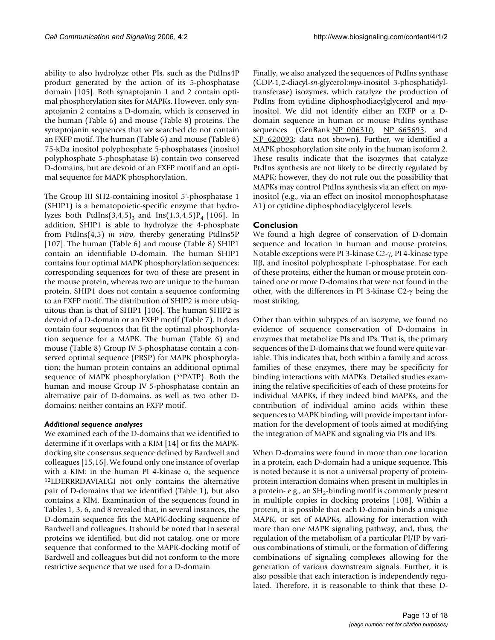ability to also hydrolyze other PIs, such as the PtdIns4P product generated by the action of its 5-phosphatase domain [105]. Both synaptojanin 1 and 2 contain optimal phosphorylation sites for MAPKs. However, only synaptojanin 2 contains a D-domain, which is conserved in the human (Table 6) and mouse (Table 8) proteins. The synaptojanin sequences that we searched do not contain an FXFP motif. The human (Table 6) and mouse (Table 8) 75-kDa inositol polyphosphate 5-phosphatases (inositol polyphosphate 5-phosphatase B) contain two conserved D-domains, but are devoid of an FXFP motif and an optimal sequence for MAPK phosphorylation.

The Group III SH2-containing inositol 5'-phosphatase 1 (SHIP1) is a hematopoietic-specific enzyme that hydrolyzes both PtdIns $(3,4,5)$ <sub>3</sub> and Ins $(1,3,4,5)$ <sup>P<sub>4</sub> [106]. In</sup> addition, SHIP1 is able to hydrolyze the 4-phosphate from PtdIns(4,5) *in vitro*, thereby generating PtdIns5P [107]. The human (Table 6) and mouse (Table 8) SHIP1 contain an identifiable D-domain. The human SHIP1 contains four optimal MAPK phosphorylation sequences; corresponding sequences for two of these are present in the mouse protein, whereas two are unique to the human protein. SHIP1 does not contain a sequence conforming to an FXFP motif. The distribution of SHIP2 is more ubiquitous than is that of SHIP1 [106]. The human SHIP2 is devoid of a D-domain or an FXFP motif (Table 7). It does contain four sequences that fit the optimal phosphorylation sequence for a MAPK. The human (Table 6) and mouse (Table 8) Group IV 5-phosphatase contain a conserved optimal sequence (PRSP) for MAPK phosphorylation; the human protein contains an additional optimal sequence of MAPK phosphorylation (55PATP). Both the human and mouse Group IV 5-phosphatase contain an alternative pair of D-domains, as well as two other Ddomains; neither contains an FXFP motif.

#### *Additional sequence analyses*

We examined each of the D-domains that we identified to determine if it overlaps with a KIM [14] or fits the MAPKdocking site consensus sequence defined by Bardwell and colleagues [15,16]. We found only one instance of overlap with a KIM: in the human PI 4-kinase  $\alpha$ , the sequence 12LDERRRDAVIALGI not only contains the alternative pair of D-domains that we identified (Table 1), but also contains a KIM. Examination of the sequences found in Tables 1, 3, 6, and 8 revealed that, in several instances, the D-domain sequence fits the MAPK-docking sequence of Bardwell and colleagues. It should be noted that in several proteins we identified, but did not catalog, one or more sequence that conformed to the MAPK-docking motif of Bardwell and colleagues but did not conform to the more restrictive sequence that we used for a D-domain.

Finally, we also analyzed the sequences of PtdIns synthase (CDP-1,2-diacyl-*sn*-glycerol:*myo*-inositol 3-phosphatidyltransferase) isozymes, which catalyze the production of PtdIns from cytidine diphosphodiacylglycerol and *myo*inositol. We did not identify either an FXFP or a Ddomain sequence in human or mouse PtdIns synthase sequences (GenBank:[NP\\_006310,](http://www.ncbi.nih.gov/entrez/query.fcgi?db=Nucleotide&cmd=search&term=NP_006310) [NP\\_665695,](http://www.ncbi.nih.gov/entrez/query.fcgi?db=Nucleotide&cmd=search&term=NP_665695) and [NP\\_620093;](http://www.ncbi.nih.gov/entrez/query.fcgi?db=Nucleotide&cmd=search&term=NP_620093) data not shown). Further, we identified a MAPK phosphorylation site only in the human isoform 2. These results indicate that the isozymes that catalyze PtdIns synthesis are not likely to be directly regulated by MAPK; however, they do not rule out the possibility that MAPKs may control PtdIns synthesis via an effect on *myo*inositol (e.g., via an effect on inositol monophosphatase A1) or cytidine diphosphodiacylglycerol levels.

#### **Conclusion**

We found a high degree of conservation of D-domain sequence and location in human and mouse proteins. Notable exceptions were PI 3-kinase C2-γ, PI 4-kinase type IIβ, and inositol polyphosphate 1-phosphatase. For each of these proteins, either the human or mouse protein contained one or more D-domains that were not found in the other, with the differences in PI 3-kinase C2-γ being the most striking.

Other than within subtypes of an isozyme, we found no evidence of sequence conservation of D-domains in enzymes that metabolize PIs and IPs. That is, the primary sequences of the D-domains that we found were quite variable. This indicates that, both within a family and across families of these enzymes, there may be specificity for binding interactions with MAPKs. Detailed studies examining the relative specificities of each of these proteins for individual MAPKs, if they indeed bind MAPKs, and the contribution of individual amino acids within these sequences to MAPK binding, will provide important information for the development of tools aimed at modifying the integration of MAPK and signaling via PIs and IPs.

When D-domains were found in more than one location in a protein, each D-domain had a unique sequence. This is noted because it is not a universal property of proteinprotein interaction domains when present in multiples in a protein- e.g., an  $SH<sub>2</sub>$ -binding motif is commonly present in multiple copies in docking proteins [108]. Within a protein, it is possible that each D-domain binds a unique MAPK, or set of MAPKs, allowing for interaction with more than one MAPK signaling pathway, and, thus, the regulation of the metabolism of a particular PI/IP by various combinations of stimuli, or the formation of differing combinations of signaling complexes allowing for the generation of various downstream signals. Further, it is also possible that each interaction is independently regulated. Therefore, it is reasonable to think that these D-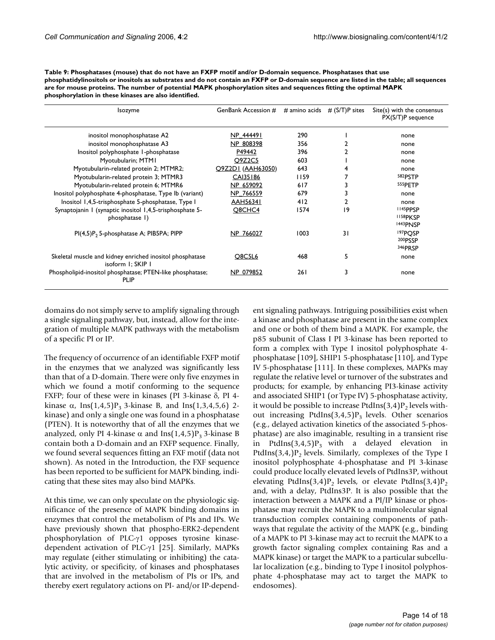**Table 9: Phosphatases (mouse) that do not have an FXFP motif and/or D-domain sequence. Phosphatases that use phosphatidylinositols or inositols as substrates and do not contain an FXFP or D-domain sequence are listed in the table; all sequences are for mouse proteins. The number of potential MAPK phosphorylation sites and sequences fitting the optimal MAPK phosphorylation in these kinases are also identified.**

| Isozyme                                                                       | GenBank Accession $#$ # amino acids $#$ (S/T)P sites |      |    | Site(s) with the consensus<br>PX(S/T)P sequence |
|-------------------------------------------------------------------------------|------------------------------------------------------|------|----|-------------------------------------------------|
| inositol monophosphatase A2                                                   | NP 444491                                            | 290  |    | none                                            |
| inositol monophosphatase A3                                                   | NP 808398                                            | 356  |    | none                                            |
| Inositol polyphosphate I-phosphatase                                          | P49442                                               | 396  |    | none                                            |
| Myotubularin; MTMI                                                            | O9Z2C5                                               | 603  |    | none                                            |
| Myotubularin-related protein 2; MTMR2;                                        | <b>Q9Z2DI (AAH63050)</b>                             | 643  | 4  | none                                            |
| Myotubularin-related protein 3; MTMR3                                         | CAI35186                                             | 1159 |    | 582PSTP                                         |
| Myotubularin-related protein 6; MTMR6                                         | NP 659092                                            | 617  |    | 555 PFTP                                        |
| Inositol polyphosphate 4-phosphatase, Type Ib (variant)                       | NP 766559                                            | 679  | 3  | none                                            |
| Inositol 1,4,5-trisphosphate 5-phosphatase, Type I                            | <b>AAH56341</b>                                      | 412  | 2  | none                                            |
| Synaptojanin I (synaptic inositol 1,4,5-trisphosphate 5-<br>phosphatase 1)    | O8CHC <sub>4</sub>                                   | 1574 | 19 | 1145PPSP<br>1158PKSP<br>1443 PNSP               |
| PI(4,5)P <sub>2</sub> 5-phosphatase A; PIB5PA; PIPP                           | NP 766027                                            | 1003 | 31 | 197POSP<br>200PSSP<br>346PRSP                   |
| Skeletal muscle and kidney enriched inositol phosphatase<br>isoform I: SKIP I | Q8C5L6                                               | 468  | 5  | none                                            |
| Phospholipid-inositol phosphatase; PTEN-like phosphatase;<br>PLIP             | NP 079852                                            | 261  | 3  | none                                            |

domains do not simply serve to amplify signaling through a single signaling pathway, but, instead, allow for the integration of multiple MAPK pathways with the metabolism of a specific PI or IP.

The frequency of occurrence of an identifiable FXFP motif in the enzymes that we analyzed was significantly less than that of a D-domain. There were only five enzymes in which we found a motif conforming to the sequence FXFP; four of these were in kinases (PI 3-kinase δ, PI 4 kinase  $\alpha$ , Ins(1,4,5)P<sub>3</sub> 3-kinase B, and Ins(1,3,4,5,6) 2kinase) and only a single one was found in a phosphatase (PTEN). It is noteworthy that of all the enzymes that we analyzed, only PI 4-kinase  $\alpha$  and Ins(1,4,5)P<sub>3</sub> 3-kinase B contain both a D-domain and an FXFP sequence. Finally, we found several sequences fitting an FXF motif (data not shown). As noted in the Introduction, the FXF sequence has been reported to be sufficient for MAPK binding, indicating that these sites may also bind MAPKs.

At this time, we can only speculate on the physiologic significance of the presence of MAPK binding domains in enzymes that control the metabolism of PIs and IPs. We have previously shown that phospho-ERK2-dependent phosphorylation of PLC-γ1 opposes tyrosine kinasedependent activation of PLC-γ1 [25]. Similarly, MAPKs may regulate (either stimulating or inhibiting) the catalytic activity, or specificity, of kinases and phosphatases that are involved in the metabolism of PIs or IPs, and thereby exert regulatory actions on PI- and/or IP-dependent signaling pathways. Intriguing possibilities exist when a kinase and phosphatase are present in the same complex and one or both of them bind a MAPK. For example, the p85 subunit of Class I PI 3-kinase has been reported to form a complex with Type I inositol polyphosphate 4 phosphatase [109], SHIP1 5-phosphatase [110], and Type IV 5-phosphatase [111]. In these complexes, MAPKs may regulate the relative level or turnover of the substrates and products; for example, by enhancing PI3-kinase activity and associated SHIP1 (or Type IV) 5-phosphatase activity, it would be possible to increase PtdIns $(3,4)P$ <sub>2</sub> levels without increasing PtdIns $(3,4,5)P_3$  levels. Other scenarios (e.g., delayed activation kinetics of the associated 5-phosphatase) are also imaginable, resulting in a transient rise in PtdIns $(3,4,5)P_3$  with a delayed elevation in PtdIns $(3,4,$ ) $P_2$  levels. Similarly, complexes of the Type I inositol polyphosphate 4-phosphatase and PI 3-kinase could produce locally elevated levels of PtdIns3P, without elevating PtdIns(3,4)P<sub>2</sub> levels, or elevate PtdIns(3,4)P<sub>2</sub> and, with a delay, PtdIns3P. It is also possible that the interaction between a MAPK and a PI/IP kinase or phosphatase may recruit the MAPK to a multimolecular signal transduction complex containing components of pathways that regulate the activity of the MAPK (e.g., binding of a MAPK to PI 3-kinase may act to recruit the MAPK to a growth factor signaling complex containing Ras and a MAPK kinase) or target the MAPK to a particular subcellular localization (e.g., binding to Type I inositol polyphosphate 4-phosphatase may act to target the MAPK to endosomes).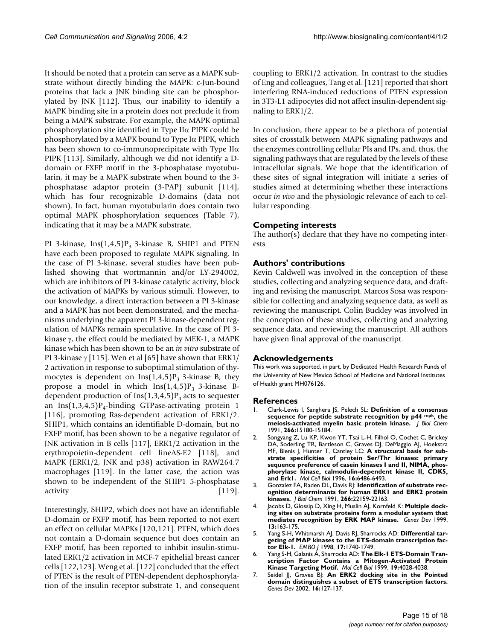It should be noted that a protein can serve as a MAPK substrate without directly binding the MAPK: c-Jun-bound proteins that lack a JNK binding site can be phosphorylated by JNK [112]. Thus, our inability to identify a MAPK binding site in a protein does not preclude it from being a MAPK substrate. For example, the MAPK optimal phosphorylation site identified in Type IIα PIPK could be phosphorylated by a MAPK bound to Type Iα PIPK, which has been shown to co-immunoprecipitate with Type II $\alpha$ PIPK [113]. Similarly, although we did not identify a Ddomain or FXFP motif in the 3-phosphatase myotubularin, it may be a MAPK substrate when bound to the 3 phosphatase adaptor protein (3-PAP) subunit [114], which has four recognizable D-domains (data not shown). In fact, human myotubularin does contain two optimal MAPK phosphorylation sequences (Table 7), indicating that it may be a MAPK substrate.

PI 3-kinase,  $Ins(1,4,5)P_3$  3-kinase B, SHIP1 and PTEN have each been proposed to regulate MAPK signaling. In the case of PI 3-kinase, several studies have been published showing that wortmannin and/or LY-294002, which are inhibitors of PI 3-kinase catalytic activity, block the activation of MAPKs by various stimuli. However, to our knowledge, a direct interaction between a PI 3-kinase and a MAPK has not been demonstrated, and the mechanisms underlying the apparent PI 3-kinase-dependent regulation of MAPKs remain speculative. In the case of PI 3 kinase γ, the effect could be mediated by MEK-1, a MAPK kinase which has been shown to be an *in vitro* substrate of PI 3-kinase  $\gamma$  [115]. Wen et al [65] have shown that ERK1/ 2 activation in response to suboptimal stimulation of thymocytes is dependent on  $Ins(1,4,5)P_3$  3-kinase B; they propose a model in which  $Ins(1,4,5)P_3$  3-kinase Bdependent production of  $Ins(1,3,4,5)P_4$  acts to sequester an Ins $(1,3,4,5)P_4$ -binding GTPase-activating protein 1 [116], promoting Ras-dependent activation of ERK1/2. SHIP1, which contains an identifiable D-domain, but no FXFP motif, has been shown to be a negative regulator of JNK activation in B cells [117], ERK1/2 activation in the erythropoietin-dependent cell lineAS-E2 [118], and MAPK (ERK1/2, JNK and p38) activation in RAW264.7 macrophages [119]. In the latter case, the action was shown to be independent of the SHIP1 5-phosphatase activity [119].

Interestingly, SHIP2, which does not have an identifiable D-domain or FXFP motif, has been reported to not exert an effect on cellular MAPKs [120,121]. PTEN, which does not contain a D-domain sequence but does contain an FXFP motif, has been reported to inhibit insulin-stimulated ERK1/2 activation in MCF-7 epithelial breast cancer cells [122,123]. Weng et al. [122] concluded that the effect of PTEN is the result of PTEN-dependent dephosphorylation of the insulin receptor substrate 1, and consequent coupling to ERK1/2 activation. In contrast to the studies of Eng and colleagues, Tang et al. [121] reported that short interfering RNA-induced reductions of PTEN expression in 3T3-L1 adipocytes did not affect insulin-dependent signaling to ERK1/2.

In conclusion, there appear to be a plethora of potential sites of crosstalk between MAPK signaling pathways and the enzymes controlling cellular PIs and IPs, and, thus, the signaling pathways that are regulated by the levels of these intracellular signals. We hope that the identification of these sites of signal integration will initiate a series of studies aimed at determining whether these interactions occur *in vivo* and the physiologic relevance of each to cellular responding.

#### **Competing interests**

The author(s) declare that they have no competing interests

#### **Authors' contributions**

Kevin Caldwell was involved in the conception of these studies, collecting and analyzing sequence data, and drafting and revising the manuscript. Marcos Sosa was responsible for collecting and analyzing sequence data, as well as reviewing the manuscript. Colin Buckley was involved in the conception of these studies, collecting and analyzing sequence data, and reviewing the manuscript. All authors have given final approval of the manuscript.

#### **Acknowledgements**

This work was supported, in part, by Dedicated Health Research Funds of the University of New Mexico School of Medicine and National Institutes of Health grant MH076126.

#### **References**

- <span id="page-15-0"></span>1. Clark-Lewis I, Sanghera JS, Pelech SL: **Definition of a consensus sequence for peptide substrate recognition by p44 mpk[, the](http://www.ncbi.nlm.nih.gov/entrez/query.fcgi?cmd=Retrieve&db=PubMed&dopt=Abstract&list_uids=1907971) [meiosis-activated myelin basic protein kinase.](http://www.ncbi.nlm.nih.gov/entrez/query.fcgi?cmd=Retrieve&db=PubMed&dopt=Abstract&list_uids=1907971)** *J Biol Chem* 1991, **266:**15180-15184.
- 2. Songyang Z, Lu KP, Kwon YT, Tsai L-H, Filhol O, Cochet C, Brickey DA, Soderling TR, Bartleson C, Graves DJ, DeMaggio AJ, Hoekstra MF, Blenis J, Hunter T, Cantley LC: **[A structural basis for sub](http://www.ncbi.nlm.nih.gov/entrez/query.fcgi?cmd=Retrieve&db=PubMed&dopt=Abstract&list_uids=8887677)strate specificities of protein Ser/Thr kinases: primary sequence preference of casein kinases I and II, NIMA, phos[phorylase kinase, calmodulin-dependent kinase II, CDK5,](http://www.ncbi.nlm.nih.gov/entrez/query.fcgi?cmd=Retrieve&db=PubMed&dopt=Abstract&list_uids=8887677) [and Erk1.](http://www.ncbi.nlm.nih.gov/entrez/query.fcgi?cmd=Retrieve&db=PubMed&dopt=Abstract&list_uids=8887677)** *Mol Cell Biol* 1996, **16:**6486-6493.
- 3. Gonzalez FA, Raden DL, Davis RJ: **[Identification of substrate rec](http://www.ncbi.nlm.nih.gov/entrez/query.fcgi?cmd=Retrieve&db=PubMed&dopt=Abstract&list_uids=1939237)[ognition determinants for human ERK1 and ERK2 protein](http://www.ncbi.nlm.nih.gov/entrez/query.fcgi?cmd=Retrieve&db=PubMed&dopt=Abstract&list_uids=1939237) [kinases.](http://www.ncbi.nlm.nih.gov/entrez/query.fcgi?cmd=Retrieve&db=PubMed&dopt=Abstract&list_uids=1939237)** *J Biol Chem* 1991, **266:**22159-22163.
- Jacobs D, Glossip D, Xing H, Muslin AJ, Kornfeld K: [Multiple dock](http://www.ncbi.nlm.nih.gov/entrez/query.fcgi?cmd=Retrieve&db=PubMed&dopt=Abstract&list_uids=9925641)**[ing sites on substrate proteins form a modular system that](http://www.ncbi.nlm.nih.gov/entrez/query.fcgi?cmd=Retrieve&db=PubMed&dopt=Abstract&list_uids=9925641) [mediates recognition by ERK MAP kinase.](http://www.ncbi.nlm.nih.gov/entrez/query.fcgi?cmd=Retrieve&db=PubMed&dopt=Abstract&list_uids=9925641)** *Genes Dev* 1999, **13:**163-175.
- 5. Yang S-H, Whitmarsh AJ, Davis RJ, Sharrocks AD: **[Differential tar](http://www.ncbi.nlm.nih.gov/entrez/query.fcgi?cmd=Retrieve&db=PubMed&dopt=Abstract&list_uids=9501095)[geting of MAP kinases to the ETS-domain transcription fac](http://www.ncbi.nlm.nih.gov/entrez/query.fcgi?cmd=Retrieve&db=PubMed&dopt=Abstract&list_uids=9501095)[tor Elk-1.](http://www.ncbi.nlm.nih.gov/entrez/query.fcgi?cmd=Retrieve&db=PubMed&dopt=Abstract&list_uids=9501095)** *EMBO J* 1998, **17:**1740-1749.
- 6. Yang S-H, Galanis A, Sharrocks AD: **[The Elk-1 ETS-Domain Tran](http://www.ncbi.nlm.nih.gov/entrez/query.fcgi?cmd=Retrieve&db=PubMed&dopt=Abstract&list_uids=10330143)[scription Factor Contains a Mitogen-Activated Protein](http://www.ncbi.nlm.nih.gov/entrez/query.fcgi?cmd=Retrieve&db=PubMed&dopt=Abstract&list_uids=10330143) [Kinase Targeting Motif.](http://www.ncbi.nlm.nih.gov/entrez/query.fcgi?cmd=Retrieve&db=PubMed&dopt=Abstract&list_uids=10330143)** *Mol Cell Biol* 1999, **19:**4028-4038.
- 7. Seidel JJ, Graves BJ: **[An ERK2 docking site in the Pointed](http://www.ncbi.nlm.nih.gov/entrez/query.fcgi?cmd=Retrieve&db=PubMed&dopt=Abstract&list_uids=11782450) [domain distinguishes a subset of ETS transcription factors.](http://www.ncbi.nlm.nih.gov/entrez/query.fcgi?cmd=Retrieve&db=PubMed&dopt=Abstract&list_uids=11782450)** *Genes Dev* 2002, **16:**127-137.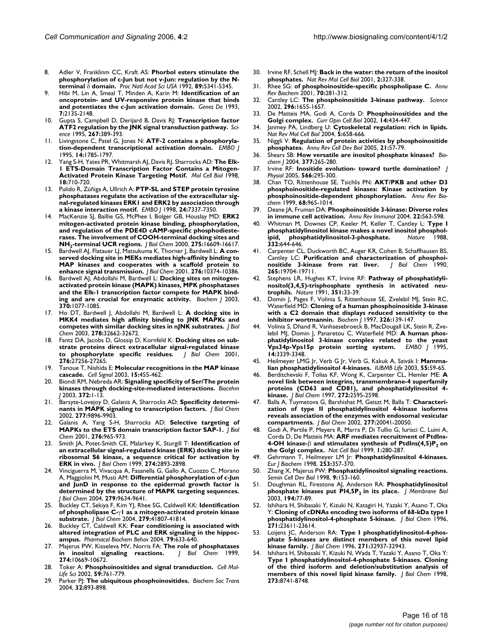- 8. Adler V, Franklinm CC, Kraft AS: **Phorbol esters stimulate the phosphorylation of c-Jun but not v-Jun: regulation by the Nterminal** δ **[domain.](http://www.ncbi.nlm.nih.gov/entrez/query.fcgi?cmd=Retrieve&db=PubMed&dopt=Abstract&list_uids=1608942)** *Proc Natl Acad Sci USA* 1992, **89:**5341-5345.
- 9. Hibi M, Lin A, Smeal T, Minden A, Karin M: **Identification of an oncoprotein- and UV-responsive protein kinase that binds and potentiates the c-Jun activation domain.** *Genes De* 1993, **7:**2135-2148.
- 10. Gupta S, Campbell D, Derijard B, Davis RJ: **[Transcription factor](http://www.ncbi.nlm.nih.gov/entrez/query.fcgi?cmd=Retrieve&db=PubMed&dopt=Abstract&list_uids=7824938) [ATF2 regulation by the JNK signal transduction pathway.](http://www.ncbi.nlm.nih.gov/entrez/query.fcgi?cmd=Retrieve&db=PubMed&dopt=Abstract&list_uids=7824938)** *Science* 1995, **267:**389-393.
- 11. Livingstone C, Patel G, Jones N: **[ATF-2 contains a phosphoryla](http://www.ncbi.nlm.nih.gov/entrez/query.fcgi?cmd=Retrieve&db=PubMed&dopt=Abstract&list_uids=7737129)[tion-dependent transcriptional activation domain.](http://www.ncbi.nlm.nih.gov/entrez/query.fcgi?cmd=Retrieve&db=PubMed&dopt=Abstract&list_uids=7737129)** *EMBO J* 1995, **14:**1785-1797.
- 12. Yang S-H, Yates PR, Whitmarsh AJ, Davis RJ, Sharrocks AD: **[The Elk-](http://www.ncbi.nlm.nih.gov/entrez/query.fcgi?cmd=Retrieve&db=PubMed&dopt=Abstract&list_uids=9447967)[1 ETS-Domain Transcription Factor Contains a Mitogen-](http://www.ncbi.nlm.nih.gov/entrez/query.fcgi?cmd=Retrieve&db=PubMed&dopt=Abstract&list_uids=9447967)[Activated Protein Kinase Targeting Motif.](http://www.ncbi.nlm.nih.gov/entrez/query.fcgi?cmd=Retrieve&db=PubMed&dopt=Abstract&list_uids=9447967)** *Mol Cell Biol* 1998, **18:**710-720.
- 13. Pulido R, Zúñiga A, Ullrich A: **PTP-SL and STEP protein tyrosine phosphatases regulate the activation of the extracellular signal-regulated kinases ERK1 and ERK2 by association through a kinase interaction motif.** *EMBO J* 1998, **24:**7337-7350.
- 14. MacKenzie SJ, Baillie GS, McPhee I, Bolger GB, Houslay MD: **ERK2 mitogen-activated protein kinase binding, phosphorylation, and regulation of the PDE4D cAMP-specific phosphodiesterases. The involvement of COOH-terminal docking sites and NH2[-terminal UCR regions.](http://www.ncbi.nlm.nih.gov/entrez/query.fcgi?cmd=Retrieve&db=PubMed&dopt=Abstract&list_uids=10828059)** *J Biol Chem* 2000, **275:**16609-16617.
- 15. Bardwell AJ, Flatauer LJ, Matsukuma K, Thorner J, Bardwell L: **[A con](http://www.ncbi.nlm.nih.gov/entrez/query.fcgi?cmd=Retrieve&db=PubMed&dopt=Abstract&list_uids=11134045)served docking site in MEKs mediates high-affinity binding to [MAP kinases and cooperates with a scaffold protein to](http://www.ncbi.nlm.nih.gov/entrez/query.fcgi?cmd=Retrieve&db=PubMed&dopt=Abstract&list_uids=11134045) [enhance signal transmission.](http://www.ncbi.nlm.nih.gov/entrez/query.fcgi?cmd=Retrieve&db=PubMed&dopt=Abstract&list_uids=11134045)** *J Biol Chem* 2001, **276:**10374-10386.
- 16. Bardwell AJ, Abdollahi M, Bardwell L: **[Docking sites on mitogen](http://www.ncbi.nlm.nih.gov/entrez/query.fcgi?cmd=Retrieve&db=PubMed&dopt=Abstract&list_uids=12529172)activated protein kinase (MAPK) kinases, MPK phosphatases [and the Elk-1 transcription factor compete for MAPK bind](http://www.ncbi.nlm.nih.gov/entrez/query.fcgi?cmd=Retrieve&db=PubMed&dopt=Abstract&list_uids=12529172)[ing and are crucial for enzymatic activity.](http://www.ncbi.nlm.nih.gov/entrez/query.fcgi?cmd=Retrieve&db=PubMed&dopt=Abstract&list_uids=12529172)** *Biochem J* 2003, **370:**1077-1085.
- 17. Ho DT, Bardwell J, Abdollahi M, Bardwell L: **[A docking site in](http://www.ncbi.nlm.nih.gov/entrez/query.fcgi?cmd=Retrieve&db=PubMed&dopt=Abstract&list_uids=12788955) [MKK4 mediates high affinity binding to JNK MAPKs and](http://www.ncbi.nlm.nih.gov/entrez/query.fcgi?cmd=Retrieve&db=PubMed&dopt=Abstract&list_uids=12788955) [competes with similar docking sites in nJNK substrates.](http://www.ncbi.nlm.nih.gov/entrez/query.fcgi?cmd=Retrieve&db=PubMed&dopt=Abstract&list_uids=12788955)** *J Biol Chem* 2003, **278:**32662-32672.
- 18. Fantz DA, Jacobs D, Glossip D, Kornfeld K: **[Docking sites on sub](http://www.ncbi.nlm.nih.gov/entrez/query.fcgi?cmd=Retrieve&db=PubMed&dopt=Abstract&list_uids=11371562)[strate proteins direct extracellular signal-regulated kinase](http://www.ncbi.nlm.nih.gov/entrez/query.fcgi?cmd=Retrieve&db=PubMed&dopt=Abstract&list_uids=11371562)** [to phosphorylate specific residues.](http://www.ncbi.nlm.nih.gov/entrez/query.fcgi?cmd=Retrieve&db=PubMed&dopt=Abstract&list_uids=11371562) **276:**27256-27265.
- 19. Tanoue T, Nishida E: **[Molecular recognitions in the MAP kinase](http://www.ncbi.nlm.nih.gov/entrez/query.fcgi?cmd=Retrieve&db=PubMed&dopt=Abstract&list_uids=12639708) [cascade.](http://www.ncbi.nlm.nih.gov/entrez/query.fcgi?cmd=Retrieve&db=PubMed&dopt=Abstract&list_uids=12639708)** *Cell Signal* 2003, **15:**455-462.
- 20. Biondi RM, Nebreda AR: **Signaling specificity of Ser/The protein kinases through docking-site-mediated interactions.** *Biocehm J* 2003, **372:**1-13.
- 21. Barsyte-Lovejoy D, Galanis A, Sharrocks AD: **[Specificity determi](http://www.ncbi.nlm.nih.gov/entrez/query.fcgi?cmd=Retrieve&db=PubMed&dopt=Abstract&list_uids=11786537)[nants in MAPK signaling to transcription factors.](http://www.ncbi.nlm.nih.gov/entrez/query.fcgi?cmd=Retrieve&db=PubMed&dopt=Abstract&list_uids=11786537)** *J Biol Chem* 2002, **277:**9896-9903.
- 22. Galanis A, Yang S-H, Sharrocks AD: **[Selective targeting of](http://www.ncbi.nlm.nih.gov/entrez/query.fcgi?cmd=Retrieve&db=PubMed&dopt=Abstract&list_uids=11029469) [MAPKs to the ETS domain transcription factor SAP-1.](http://www.ncbi.nlm.nih.gov/entrez/query.fcgi?cmd=Retrieve&db=PubMed&dopt=Abstract&list_uids=11029469)** *J Biol Chem* 2001, **276:**965-973.
- 23. Smith JA, Potet-Smith CE, Malarkey K, Sturgill T: **[Identification of](http://www.ncbi.nlm.nih.gov/entrez/query.fcgi?cmd=Retrieve&db=PubMed&dopt=Abstract&list_uids=9915826) an extracellular signal-regulated kinase (ERK) docking site in [ribosomal S6 kinase, a sequence critical for activation by](http://www.ncbi.nlm.nih.gov/entrez/query.fcgi?cmd=Retrieve&db=PubMed&dopt=Abstract&list_uids=9915826) [ERK in vivo.](http://www.ncbi.nlm.nih.gov/entrez/query.fcgi?cmd=Retrieve&db=PubMed&dopt=Abstract&list_uids=9915826)** *J Biol Chem* 1999, **274:**2893-2898.
- 24. Vinciguerra M, Vivacqua A, Fasanella G, Gallo A, Cuozzo C, Morano A, Maggiolini M, Musti AM: **[Differential phosphorylation of c-Jun](http://www.ncbi.nlm.nih.gov/entrez/query.fcgi?cmd=Retrieve&db=PubMed&dopt=Abstract&list_uids=14676207) and JunD in response to the epidermal growth factor is [determined by the structure of MAPK targeting sequences.](http://www.ncbi.nlm.nih.gov/entrez/query.fcgi?cmd=Retrieve&db=PubMed&dopt=Abstract&list_uids=14676207)** *J Biol Chem* 2004, **279:**9634-9641.
- 25. Buckley CT, Sekiya F, Kim YJ, Rhee SG, Caldwell KK: **Identification of phospholipase C-**γ**[1 as a mitogen-activated protein kinase](http://www.ncbi.nlm.nih.gov/entrez/query.fcgi?cmd=Retrieve&db=PubMed&dopt=Abstract&list_uids=15258148) [substrate.](http://www.ncbi.nlm.nih.gov/entrez/query.fcgi?cmd=Retrieve&db=PubMed&dopt=Abstract&list_uids=15258148)** *J Biol Chem* 2004, **279:**41807-41814.
- 26. Buckley CT, Caldwell KK: **[Fear conditioning is associated with](http://www.ncbi.nlm.nih.gov/entrez/query.fcgi?cmd=Retrieve&db=PubMed&dopt=Abstract&list_uids=15582671) [altered integration of PLC and ERK signaling in the hippoc](http://www.ncbi.nlm.nih.gov/entrez/query.fcgi?cmd=Retrieve&db=PubMed&dopt=Abstract&list_uids=15582671)[ampus.](http://www.ncbi.nlm.nih.gov/entrez/query.fcgi?cmd=Retrieve&db=PubMed&dopt=Abstract&list_uids=15582671)** *Pharmacol Biochem Behav* 2004, **79:**633-640.
- 27. Majerus PW, Kisseleva MV, Norris FA: **[The role of phosphatases](http://www.ncbi.nlm.nih.gov/entrez/query.fcgi?cmd=Retrieve&db=PubMed&dopt=Abstract&list_uids=10196133) [in inositol signaling reactions.](http://www.ncbi.nlm.nih.gov/entrez/query.fcgi?cmd=Retrieve&db=PubMed&dopt=Abstract&list_uids=10196133)** *J Biol Chem* 1999, **274:**10669-10672.
- 28. Toker A: **Phosphoinositides and signal transduction.** *Cell Mol-Life Sci* 2002, **59:**761-779.
- 29. Parker PJ: **[The ubiquitous phosphoinositides.](http://www.ncbi.nlm.nih.gov/entrez/query.fcgi?cmd=Retrieve&db=PubMed&dopt=Abstract&list_uids=15506918)** *Biochem Soc Trans* 2004, **32:**893-898.
- 30. Irvine RF, Schell MJ: **[Back in the water: the return of the inositol](http://www.ncbi.nlm.nih.gov/entrez/query.fcgi?cmd=Retrieve&db=PubMed&dopt=Abstract&list_uids=11331907) [phosphates.](http://www.ncbi.nlm.nih.gov/entrez/query.fcgi?cmd=Retrieve&db=PubMed&dopt=Abstract&list_uids=11331907)** *Nat Rev Mol Cell Biol* 2001, **2:**327-338.
- 31. Rhee SG: **[of phosphoinositide-specific phospholipase C.](http://www.ncbi.nlm.nih.gov/entrez/query.fcgi?cmd=Retrieve&db=PubMed&dopt=Abstract&list_uids=11395409)** *Annu Rev Biochem* 2001, **70:**281-312.
- 32. Cantley LC: **[The phosphoinositide 3-kinase pathway.](http://www.ncbi.nlm.nih.gov/entrez/query.fcgi?cmd=Retrieve&db=PubMed&dopt=Abstract&list_uids=12040186)** *Science* 2002, **296:**1655-1657.
- 33. De Matteis MA, Godi A, Corda D: **[Phosphoinositides and the](http://www.ncbi.nlm.nih.gov/entrez/query.fcgi?cmd=Retrieve&db=PubMed&dopt=Abstract&list_uids=12383794) [Golgi complex.](http://www.ncbi.nlm.nih.gov/entrez/query.fcgi?cmd=Retrieve&db=PubMed&dopt=Abstract&list_uids=12383794)** *Curr Opin Cell Biol* 2002, **14:**434-447.
- Janmey PA, Lindberg U: [Cytoskeletal regulation: rich in lipids.](http://www.ncbi.nlm.nih.gov/entrez/query.fcgi?cmd=Retrieve&db=PubMed&dopt=Abstract&list_uids=15366709) *Nat Rev Mol Cell Biol* 2004, **5:**658-666.
- 35. Niggli V: **[Regulation of protein activities by phosphoinositide](http://www.ncbi.nlm.nih.gov/entrez/query.fcgi?cmd=Retrieve&db=PubMed&dopt=Abstract&list_uids=16212487) [phosphates.](http://www.ncbi.nlm.nih.gov/entrez/query.fcgi?cmd=Retrieve&db=PubMed&dopt=Abstract&list_uids=16212487)** *Annu Rev Cell Dev Biol* 2005, **21:**57-79.
- 36. Shears SB: **[How versatile are inositol phosphate kinases?](http://www.ncbi.nlm.nih.gov/entrez/query.fcgi?cmd=Retrieve&db=PubMed&dopt=Abstract&list_uids=14567754)** *Biochem J* 2004, **377:**265-280.
- 37. Irvine RF: **[Inositide evolution- toward turtle domination?](http://www.ncbi.nlm.nih.gov/entrez/query.fcgi?cmd=Retrieve&db=PubMed&dopt=Abstract&list_uids=15860522)** *J Physiol* 2005, **566:**295-300.
- 38. Chan TO, Rittenhouse SE, Tsichlis PN: **[AKT/PKB and other D3](http://www.ncbi.nlm.nih.gov/entrez/query.fcgi?cmd=Retrieve&db=PubMed&dopt=Abstract&list_uids=10872470) [phosphoinositide-regulated kinases: Kinase activation by](http://www.ncbi.nlm.nih.gov/entrez/query.fcgi?cmd=Retrieve&db=PubMed&dopt=Abstract&list_uids=10872470) [phosphoinositide-dependent phosphorylation.](http://www.ncbi.nlm.nih.gov/entrez/query.fcgi?cmd=Retrieve&db=PubMed&dopt=Abstract&list_uids=10872470)** *Annu Rev Biochem* 1999, **68:**965-1014.
- 39. Deane JA, Fruman DA: **[Phosphoinositide 3-kinase: Diverse roles](http://www.ncbi.nlm.nih.gov/entrez/query.fcgi?cmd=Retrieve&db=PubMed&dopt=Abstract&list_uids=15032589) [in immune cell activation.](http://www.ncbi.nlm.nih.gov/entrez/query.fcgi?cmd=Retrieve&db=PubMed&dopt=Abstract&list_uids=15032589)** *Annu Rev Immunol* 2004, **22:**563-598.
- 40. Whitman M, Downes CP, Keeler M, Keller T, Cantley L: **[Type I](http://www.ncbi.nlm.nih.gov/entrez/query.fcgi?cmd=Retrieve&db=PubMed&dopt=Abstract&list_uids=2833705) [phosphatidylinositol kinase makes a novel inositol phosphol](http://www.ncbi.nlm.nih.gov/entrez/query.fcgi?cmd=Retrieve&db=PubMed&dopt=Abstract&list_uids=2833705)[ipid, phosphatidylinositol-3-phosphate.](http://www.ncbi.nlm.nih.gov/entrez/query.fcgi?cmd=Retrieve&db=PubMed&dopt=Abstract&list_uids=2833705)** Nature **332:**644-646.
- Carpenter CL, Duckworth BC, Auger KR, Cohen B, Schaffhausen BS, Cantley LC: **[Purification and characterization of phosphoi](http://www.ncbi.nlm.nih.gov/entrez/query.fcgi?cmd=Retrieve&db=PubMed&dopt=Abstract&list_uids=2174051)[nositide 3-kinase from rat liver.](http://www.ncbi.nlm.nih.gov/entrez/query.fcgi?cmd=Retrieve&db=PubMed&dopt=Abstract&list_uids=2174051)** *J Biol Chem* 1990, **265:**19704-19711.
- 42. Stephens LR, Hughes KT, Irvine RF: **[Pathway of phosphatidyli](http://www.ncbi.nlm.nih.gov/entrez/query.fcgi?cmd=Retrieve&db=PubMed&dopt=Abstract&list_uids=1851250)[nositol\(3,4,5\)-trisphosphate synthesis in activated neu](http://www.ncbi.nlm.nih.gov/entrez/query.fcgi?cmd=Retrieve&db=PubMed&dopt=Abstract&list_uids=1851250)[trophils.](http://www.ncbi.nlm.nih.gov/entrez/query.fcgi?cmd=Retrieve&db=PubMed&dopt=Abstract&list_uids=1851250)** *Nature* 1991, **351:**33-39.
- 43. Domin J, Pages F, Volinia S, Rittenhouse SE, Zvelebil MJ, Stein RC, Waterfield MD: **[Cloning of a human phosphoinositide 3-kinase](http://www.ncbi.nlm.nih.gov/entrez/query.fcgi?cmd=Retrieve&db=PubMed&dopt=Abstract&list_uids=9337861) [with a C2 domain that displays reduced sensitivity to the](http://www.ncbi.nlm.nih.gov/entrez/query.fcgi?cmd=Retrieve&db=PubMed&dopt=Abstract&list_uids=9337861) [inhibitor wortmannin.](http://www.ncbi.nlm.nih.gov/entrez/query.fcgi?cmd=Retrieve&db=PubMed&dopt=Abstract&list_uids=9337861)** *Biochem J* 1997, **326:**139-147.
- 44. Volinia S, Dhand R, Vanhaesebroeck B, MacDougall LK, Stein R, Zvelebil MJ, Domin J, Panaretou C, Waterfield MD: **[A human phos](http://www.ncbi.nlm.nih.gov/entrez/query.fcgi?cmd=Retrieve&db=PubMed&dopt=Abstract&list_uids=7628435)[phatidylinositol 3-kinase complex related to the yeast](http://www.ncbi.nlm.nih.gov/entrez/query.fcgi?cmd=Retrieve&db=PubMed&dopt=Abstract&list_uids=7628435) [Vps34p-Vps15p protein sorting system.](http://www.ncbi.nlm.nih.gov/entrez/query.fcgi?cmd=Retrieve&db=PubMed&dopt=Abstract&list_uids=7628435) 14:**3339-3348.
- 45. Heilmeyer LMG Jr, Verb G Jr, Verb G, Kakuk A, Szivák I: **[Mamma](http://www.ncbi.nlm.nih.gov/entrez/query.fcgi?cmd=Retrieve&db=PubMed&dopt=Abstract&list_uids=12749687)[lian phosphatidylinositol 4-kinases.](http://www.ncbi.nlm.nih.gov/entrez/query.fcgi?cmd=Retrieve&db=PubMed&dopt=Abstract&list_uids=12749687)** *IUBMB Life* 2003, **55:**59-65.
- 46. Berditchevski F, Tolias KF, Wong K, Carpenter CL, Hemler ME: **[A](http://www.ncbi.nlm.nih.gov/entrez/query.fcgi?cmd=Retrieve&db=PubMed&dopt=Abstract&list_uids=9006891) novel link between integrins, transmembrane-4 superfamily [proteins \(CD63 and CD81\), and phosphatidylinositol 4](http://www.ncbi.nlm.nih.gov/entrez/query.fcgi?cmd=Retrieve&db=PubMed&dopt=Abstract&list_uids=9006891) [kinase.](http://www.ncbi.nlm.nih.gov/entrez/query.fcgi?cmd=Retrieve&db=PubMed&dopt=Abstract&list_uids=9006891)** *J Biol Chem* 1997, **272:**2595-2598.
- 47. Balla A, Tuymetova G, Barshishat M, Geiszt M, Balla T: **[Characteri](http://www.ncbi.nlm.nih.gov/entrez/query.fcgi?cmd=Retrieve&db=PubMed&dopt=Abstract&list_uids=11923287)zation of type II phosphatidylinositol 4-kinase isoforms [reveals association of the enzymes with endosomal vesicular](http://www.ncbi.nlm.nih.gov/entrez/query.fcgi?cmd=Retrieve&db=PubMed&dopt=Abstract&list_uids=11923287) [compartments.](http://www.ncbi.nlm.nih.gov/entrez/query.fcgi?cmd=Retrieve&db=PubMed&dopt=Abstract&list_uids=11923287)** *J Biol Chem* 2002, **277:**20041-20050.
- 48. Godi A, Pertile P, Meyers R, Marra P, Di Tullio G, Iurisci C, Luini A, Corda D, De Matteis MA: **ARF mediates recruitment of PtdIns-4-OH** kinase-β and stimulates synthesis of PtdIns(4,5)P<sub>2</sub> [on](http://www.ncbi.nlm.nih.gov/entrez/query.fcgi?cmd=Retrieve&db=PubMed&dopt=Abstract&list_uids=10559940) **[the Golgi complex.](http://www.ncbi.nlm.nih.gov/entrez/query.fcgi?cmd=Retrieve&db=PubMed&dopt=Abstract&list_uids=10559940)** *Nat Cell Biol* 1999, **1:**280-287.
- 49. Gehrmann T, Heilmeyer LM Jr: **[Phosphatidylinositol 4-kinases.](http://www.ncbi.nlm.nih.gov/entrez/query.fcgi?cmd=Retrieve&db=PubMed&dopt=Abstract&list_uids=9654085)** *Eur J Biochem* 1998, **253:**357-370.
- 50. Zhang X, Majerus PW: **[Phosphatidylinositol signaling reactions.](http://www.ncbi.nlm.nih.gov/entrez/query.fcgi?cmd=Retrieve&db=PubMed&dopt=Abstract&list_uids=9599410)** *Semin Cell Dev Biol* 1998, **9:**153-160.
- 51. Doughman RL, Firestone AJ, Anderson RA: **Phosphatidylinositol** phosphate kinases put PI4,5P<sub>2</sub> in its place. *J Membrane Biol* 2003, **194:**77-89.
- 52. Ishihara H, Shibasaki Y, Kizuki N, Katagiri H, Yazaki Y, Asano T, Oka Y: **[Cloning of cDNAs encoding two isoforms of 68-kDa type I](http://www.ncbi.nlm.nih.gov/entrez/query.fcgi?cmd=Retrieve&db=PubMed&dopt=Abstract&list_uids=8798574) [phosphatidylinositol-4-phosphate 5-kinase.](http://www.ncbi.nlm.nih.gov/entrez/query.fcgi?cmd=Retrieve&db=PubMed&dopt=Abstract&list_uids=8798574)** *J Biol Chem* 1996, **271:**23611-23614.
- 53. Loijens JC, Anderson RA: **[Type I phosphatidylinositol-4-phos](http://www.ncbi.nlm.nih.gov/entrez/query.fcgi?cmd=Retrieve&db=PubMed&dopt=Abstract&list_uids=8955136)[phate 5-kinases are distinct members of this novel lipid](http://www.ncbi.nlm.nih.gov/entrez/query.fcgi?cmd=Retrieve&db=PubMed&dopt=Abstract&list_uids=8955136) [kinase family.](http://www.ncbi.nlm.nih.gov/entrez/query.fcgi?cmd=Retrieve&db=PubMed&dopt=Abstract&list_uids=8955136)** *J Biol Chem* 1996, **271:**32937-32943.
- 54. Ishihara H, Shibasaki Y, Kizuki N, Wada T, Yazaki Y, Asano T, Oka Y: **Type I phosphatidylinositol-4-phosphate 5-kinases. Cloning [of the third isoform and deletion/substitution analysis of](http://www.ncbi.nlm.nih.gov/entrez/query.fcgi?cmd=Retrieve&db=PubMed&dopt=Abstract&list_uids=9535851) [members of this novel lipid kinase family.](http://www.ncbi.nlm.nih.gov/entrez/query.fcgi?cmd=Retrieve&db=PubMed&dopt=Abstract&list_uids=9535851)** *J Biol Chem* 1998, **273:**8741-8748.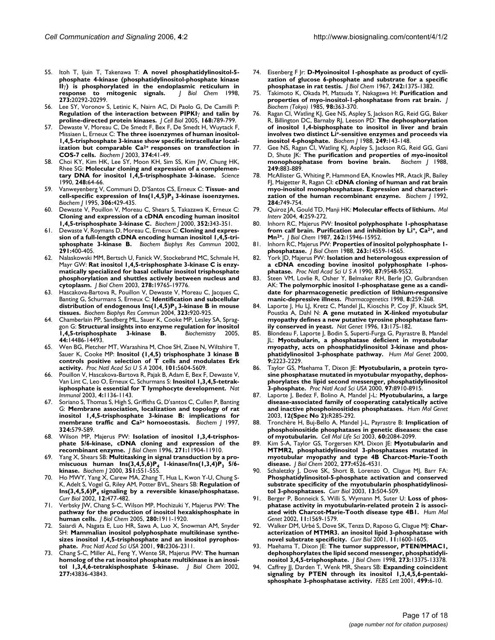- 55. Itoh T, Ijuin T, Takenawa T: **A novel phosphatidylinositol-5 phosphate 4-kinase (phosphatidylinositol-phosphate kinase II**γ**[\) is phosphorylated in the endoplasmic reticulum in](http://www.ncbi.nlm.nih.gov/entrez/query.fcgi?cmd=Retrieve&db=PubMed&dopt=Abstract&list_uids=9685379) [response to mitogenic signals.](http://www.ncbi.nlm.nih.gov/entrez/query.fcgi?cmd=Retrieve&db=PubMed&dopt=Abstract&list_uids=9685379)** *J Biol Chem* 1998, **273:**20292-20299.
- 56. Lee SY, Voronov S, Letinic K, Nairn AC, Di Paolo G, De Camilli P: **Regulation of the interaction between PIPKI**γ **[and talin by](http://www.ncbi.nlm.nih.gov/entrez/query.fcgi?cmd=Retrieve&db=PubMed&dopt=Abstract&list_uids=15738269) [proline-directed protein kinases.](http://www.ncbi.nlm.nih.gov/entrez/query.fcgi?cmd=Retrieve&db=PubMed&dopt=Abstract&list_uids=15738269)** *J Cell Biol* 2005, **168:**789-799.
- Dewaste V, Moreau C, De Smedt F, Bex F, De Smedt H, Wuytack F, Missiaen L, Erneux C: **The three isoenzymes of human inositol-1,4,5-trisphosphate 3-kinase show specific intracellular localization but comparable Ca2+ [responses on transfection in](http://www.ncbi.nlm.nih.gov/entrez/query.fcgi?cmd=Retrieve&db=PubMed&dopt=Abstract&list_uids=12747803) [COS-7 cells.](http://www.ncbi.nlm.nih.gov/entrez/query.fcgi?cmd=Retrieve&db=PubMed&dopt=Abstract&list_uids=12747803)** *Biochem J* 2003, **374:**41-49.
- 58. Choi KY, Kim HK, Lee SY, Moon KH, Sim SS, Kim JW, Chung HK, Rhee SG: **[Molecular cloning and expression of a complemen](http://www.ncbi.nlm.nih.gov/entrez/query.fcgi?cmd=Retrieve&db=PubMed&dopt=Abstract&list_uids=2157285)[tary DNA for inositol 1,4,5-trisphosphate 3-kinase.](http://www.ncbi.nlm.nih.gov/entrez/query.fcgi?cmd=Retrieve&db=PubMed&dopt=Abstract&list_uids=2157285)** *Science* 1990, **248:**64-66.
- 59. Vanweyenberg V, Communi D, D'Santos CS, Erneux C: **Tissue- and cell-specific expression of Ins(1,4,5)P3 [3-kinase isoenzymes.](http://www.ncbi.nlm.nih.gov/entrez/query.fcgi?cmd=Retrieve&db=PubMed&dopt=Abstract&list_uids=7887896)** *Biochem J* 1995, **306:**429-435.
- 60. Dewaste V, Pouillon V, Moreau C, Shears S, Takazawa K, Erneux C: **[Cloning and expression of a cDNA encoding human inositol](http://www.ncbi.nlm.nih.gov/entrez/query.fcgi?cmd=Retrieve&db=PubMed&dopt=Abstract&list_uids=11085927) [1,4,5-trisphosphate 3-kinase C.](http://www.ncbi.nlm.nih.gov/entrez/query.fcgi?cmd=Retrieve&db=PubMed&dopt=Abstract&list_uids=11085927)** *Biochem J* 2000, **352:**343-351.
- 61. Dewaste V, Roymans D, Moreau C, Erneux C: **[Cloning and expres](http://www.ncbi.nlm.nih.gov/entrez/query.fcgi?cmd=Retrieve&db=PubMed&dopt=Abstract&list_uids=11846419)[sion of a full-length cDNA encoding human inositol 1,4,5-tri](http://www.ncbi.nlm.nih.gov/entrez/query.fcgi?cmd=Retrieve&db=PubMed&dopt=Abstract&list_uids=11846419)[sphosphate 3-kinase B.](http://www.ncbi.nlm.nih.gov/entrez/query.fcgi?cmd=Retrieve&db=PubMed&dopt=Abstract&list_uids=11846419)** *Biochem Biophys Res Commun* 2002, **291:**400-405.
- 62. Nalaskowski MM, Bertsch U, Fanick W, Stockebrand MC, Schmale H, Mayr GW: **[Rat inositol 1,4,5-trisphosphate 3-kinase C is enzy](http://www.ncbi.nlm.nih.gov/entrez/query.fcgi?cmd=Retrieve&db=PubMed&dopt=Abstract&list_uids=12649294)matically specialized for basal cellular inositol trisphosphate [phosphorylation and shuttles actively between nucleus and](http://www.ncbi.nlm.nih.gov/entrez/query.fcgi?cmd=Retrieve&db=PubMed&dopt=Abstract&list_uids=12649294) [cytoplasm.](http://www.ncbi.nlm.nih.gov/entrez/query.fcgi?cmd=Retrieve&db=PubMed&dopt=Abstract&list_uids=12649294)** *J Biol Chem* 2003, **278:**19765-19776.
- 63. Hascakova-Bartova R, Pouillon V, Dewaste V, Moreau C, Jacques C, Banting G, Schurmans S, Erneux C: **Identification and subcellular distribution of endogenous Ins(1,4,5)P3 [3-kinase B in mouse](http://www.ncbi.nlm.nih.gov/entrez/query.fcgi?cmd=Retrieve&db=PubMed&dopt=Abstract&list_uids=15381088) [tissues.](http://www.ncbi.nlm.nih.gov/entrez/query.fcgi?cmd=Retrieve&db=PubMed&dopt=Abstract&list_uids=15381088)** *Biochem Biophys Res Commun* 2004, **323:**920-925.
- 64. Chamberlain PP, Sandberg ML, Sauer K, Cooke MP, Lesley SA, Spraggon G: **[Structural insights into enzyme regulation for inositol](http://www.ncbi.nlm.nih.gov/entrez/query.fcgi?cmd=Retrieve&db=PubMed&dopt=Abstract&list_uids=16262249) [1,4,5-trisphosphate 3-kinase B.](http://www.ncbi.nlm.nih.gov/entrez/query.fcgi?cmd=Retrieve&db=PubMed&dopt=Abstract&list_uids=16262249)** *Biochemistry* 2005, **44:**14486-14493.
- 65. Wen BG, Pletcher MT, Warashina M, Choe SH, Ziaee N, Wiltshire T, Sauer K, Cooke MP: **[Inositol \(1,4,5\) trisphosphate 3 kinase B](http://www.ncbi.nlm.nih.gov/entrez/query.fcgi?cmd=Retrieve&db=PubMed&dopt=Abstract&list_uids=15064401) [controls positive selection of T cells and modulates Erk](http://www.ncbi.nlm.nih.gov/entrez/query.fcgi?cmd=Retrieve&db=PubMed&dopt=Abstract&list_uids=15064401) [activity.](http://www.ncbi.nlm.nih.gov/entrez/query.fcgi?cmd=Retrieve&db=PubMed&dopt=Abstract&list_uids=15064401)** *Proc Natl Acad Sci U S A* 2004, **101:**5604-5609.
- Pouillon V, Hascakova-Bartova R, Pajak B, Adam E, Bex F, Dewaste V, Van Lint C, Leo O, Erneux C, Schurmans S: **[Inositol 1,3,4,5-tetrak](http://www.ncbi.nlm.nih.gov/entrez/query.fcgi?cmd=Retrieve&db=PubMed&dopt=Abstract&list_uids=14517551)[isphosphate is essential for T lymphocyte development.](http://www.ncbi.nlm.nih.gov/entrez/query.fcgi?cmd=Retrieve&db=PubMed&dopt=Abstract&list_uids=14517551)** *Nat Immunol* 2003, **4:**1136-1143.
- 67. Soriano S, Thomas S, High S, Griffiths G, D'santos C, Cullen P, Banting G: **Membrane association, localization and topology of rat inositol 1,4,5-trisphosphate 3-kinase B: implications for membrane traffic and Ca2+ [homoeostasis.](http://www.ncbi.nlm.nih.gov/entrez/query.fcgi?cmd=Retrieve&db=PubMed&dopt=Abstract&list_uids=9182721)** *Biochem J* 1997, **324:**579-589.
- 68. Wilson MP, Majerus PW: **[Isolation of inositol 1,3,4-trisphos](http://www.ncbi.nlm.nih.gov/entrez/query.fcgi?cmd=Retrieve&db=PubMed&dopt=Abstract&list_uids=8662638)[phate 5/6-kinase, cDNA cloning and expression of the](http://www.ncbi.nlm.nih.gov/entrez/query.fcgi?cmd=Retrieve&db=PubMed&dopt=Abstract&list_uids=8662638) [recombinant enzyme.](http://www.ncbi.nlm.nih.gov/entrez/query.fcgi?cmd=Retrieve&db=PubMed&dopt=Abstract&list_uids=8662638)** *J Biol Chem* 1996, **271:**11904-11910.
- 69. Yang X, Shears SB: **Multitasking in signal transduction by a promiscuous human Ins(3,4,5,6)P4 1-kinase/Ins(1,3,4)P3 [5/6-](http://www.ncbi.nlm.nih.gov/entrez/query.fcgi?cmd=Retrieve&db=PubMed&dopt=Abstract&list_uids=11042108) [kinase.](http://www.ncbi.nlm.nih.gov/entrez/query.fcgi?cmd=Retrieve&db=PubMed&dopt=Abstract&list_uids=11042108)** *Biochem J* 2000, **351:**551-555.
- 70. Ho MWY, Yang X, Carew MA, Zhang T, Hua L, Kwon Y-U, Chung S-K, Adelt S, Vogel G, Riley AM, Potter BVL, Shears SB: **Regulation of Ins(3,4,5,6)P4 [signaling by a reversible kinase/phosphatase.](http://www.ncbi.nlm.nih.gov/entrez/query.fcgi?cmd=Retrieve&db=PubMed&dopt=Abstract&list_uids=11909533)** *Curr Biol* 2002, **12:**477-482.
- 71. Verbsky JW, Chang S-C, Wilson MP, Mochizuki Y, Majerus PW: **[The](http://www.ncbi.nlm.nih.gov/entrez/query.fcgi?cmd=Retrieve&db=PubMed&dopt=Abstract&list_uids=15531582) [pathway for the production of inositol hexakisphosphate in](http://www.ncbi.nlm.nih.gov/entrez/query.fcgi?cmd=Retrieve&db=PubMed&dopt=Abstract&list_uids=15531582) [human cells.](http://www.ncbi.nlm.nih.gov/entrez/query.fcgi?cmd=Retrieve&db=PubMed&dopt=Abstract&list_uids=15531582)** *J Biol Chem* 2005, **280:**1911-1920.
- 72. Saiardi A, Nagata E, Luo HR, Sawa A, Luo X, Snowman AM, Snyder SH: **[Mammalian inositol polyphosphate multikinase synthe](http://www.ncbi.nlm.nih.gov/entrez/query.fcgi?cmd=Retrieve&db=PubMed&dopt=Abstract&list_uids=11226235)[sizes inositol 1,4,5-trisphosphate and an inositol pyrophos](http://www.ncbi.nlm.nih.gov/entrez/query.fcgi?cmd=Retrieve&db=PubMed&dopt=Abstract&list_uids=11226235)[phate.](http://www.ncbi.nlm.nih.gov/entrez/query.fcgi?cmd=Retrieve&db=PubMed&dopt=Abstract&list_uids=11226235)** *Proc Natl Acad Sci USA* 2001, **98:**2306-2311.
- 73. Chang S-C, Miller AL, Feng Y, Wente SR, Majerus PW: **[The human](http://www.ncbi.nlm.nih.gov/entrez/query.fcgi?cmd=Retrieve&db=PubMed&dopt=Abstract&list_uids=12223481) [homolog of the rat inositol phosphate multikinase is an inosi](http://www.ncbi.nlm.nih.gov/entrez/query.fcgi?cmd=Retrieve&db=PubMed&dopt=Abstract&list_uids=12223481)[tol 1,3,4,6-tetrakisphosphate 5-kinase.](http://www.ncbi.nlm.nih.gov/entrez/query.fcgi?cmd=Retrieve&db=PubMed&dopt=Abstract&list_uids=12223481)** *J Biol Chem* 2002, **277:**43836-43843.
- 74. Eisenberg F Jr: **[D-Myoinositol 1-phosphate as product of cycli](http://www.ncbi.nlm.nih.gov/entrez/query.fcgi?cmd=Retrieve&db=PubMed&dopt=Abstract&list_uids=4290245)[zation of glucose 6-phosphate and substrate for a specific](http://www.ncbi.nlm.nih.gov/entrez/query.fcgi?cmd=Retrieve&db=PubMed&dopt=Abstract&list_uids=4290245) [phosphatase in rat testis.](http://www.ncbi.nlm.nih.gov/entrez/query.fcgi?cmd=Retrieve&db=PubMed&dopt=Abstract&list_uids=4290245)** *J Biol Chem* 1967, **242:**1375-1382.
- 75. Takimoto K, Okada M, Matsuda Y, Nakagawa H: **[Purification and](http://www.ncbi.nlm.nih.gov/entrez/query.fcgi?cmd=Retrieve&db=PubMed&dopt=Abstract&list_uids=2999094) [properties of myo-inositol-1-phosphatase from rat brain.](http://www.ncbi.nlm.nih.gov/entrez/query.fcgi?cmd=Retrieve&db=PubMed&dopt=Abstract&list_uids=2999094)** *J Biochem (Tokyo)* 1985, **98:**363-370.
- 76. Ragan CI, Watling KJ, Gee NS, Aspley S, Jackson RG, Reid GG, Baker R, Billington DC, Barnaby RJ, Leeson PD: **The dephosphorylation of inositol 1,4-bisphosphate to inositol in liver and brain involves two distinct Li+[-sensitive enzymes and proceeds via](http://www.ncbi.nlm.nih.gov/entrez/query.fcgi?cmd=Retrieve&db=PubMed&dopt=Abstract&list_uids=2829849) [inositol 4-phosphate.](http://www.ncbi.nlm.nih.gov/entrez/query.fcgi?cmd=Retrieve&db=PubMed&dopt=Abstract&list_uids=2829849)** *Biochem J* 1988, **249:**143-148.
- 77. Gee NS, Ragan CI, Watling KJ, Aspley S, Jackson RG, Reid GG, Gani D, Shute JK: **The purification and properties of** *myo***[-inositol](http://www.ncbi.nlm.nih.gov/entrez/query.fcgi?cmd=Retrieve&db=PubMed&dopt=Abstract&list_uids=2833231) [monophosphatase from bovine brain.](http://www.ncbi.nlm.nih.gov/entrez/query.fcgi?cmd=Retrieve&db=PubMed&dopt=Abstract&list_uids=2833231)** *Biochem J* 1988, **249:**883-889.
- 78. McAllister G, Whiting P, Hammond EA, Knowles MR, Atack JR, Bailey FJ, Maigetter R, Ragan CI: **[cDNA cloning of human and rat brain](http://www.ncbi.nlm.nih.gov/entrez/query.fcgi?cmd=Retrieve&db=PubMed&dopt=Abstract&list_uids=1377913) [myo-inositol monophosphatase. Expression and characteri](http://www.ncbi.nlm.nih.gov/entrez/query.fcgi?cmd=Retrieve&db=PubMed&dopt=Abstract&list_uids=1377913)[zation of the human recombinant enzyme.](http://www.ncbi.nlm.nih.gov/entrez/query.fcgi?cmd=Retrieve&db=PubMed&dopt=Abstract&list_uids=1377913)** *Biochem J* 1992, **284:**749-754.
- 79. Quiroz JA, Gould TD, Manji HK: **[Molecular effects of lithium.](http://www.ncbi.nlm.nih.gov/entrez/query.fcgi?cmd=Retrieve&db=PubMed&dopt=Abstract&list_uids=15471909)** *Mol Interv* 2004, **4:**259-272.
- 80. Inhorn RC, Majerus PW: **Inositol polyphosphate 1-phosphatase from calf brain. Purification and inhibition by Li+, Ca2+, and Mn2[+.](http://www.ncbi.nlm.nih.gov/entrez/query.fcgi?cmd=Retrieve&db=PubMed&dopt=Abstract&list_uids=2824473)** *J Biol Chem* 1987, **262:**15946-15952.
- 81. Inhorn RC, Majerus PW: **[Properties of inositol polyphosphate 1](http://www.ncbi.nlm.nih.gov/entrez/query.fcgi?cmd=Retrieve&db=PubMed&dopt=Abstract&list_uids=2844776) [phosphatase.](http://www.ncbi.nlm.nih.gov/entrez/query.fcgi?cmd=Retrieve&db=PubMed&dopt=Abstract&list_uids=2844776)** *J Biol Chem* 1988, **263:**14559-14565.
- 82. York JD, Majerus PW: **[Isolation and heterologous expression of](http://www.ncbi.nlm.nih.gov/entrez/query.fcgi?cmd=Retrieve&db=PubMed&dopt=Abstract&list_uids=2175905) [a cDNA encoding bovine inositol polyphosphate 1-phos](http://www.ncbi.nlm.nih.gov/entrez/query.fcgi?cmd=Retrieve&db=PubMed&dopt=Abstract&list_uids=2175905)[phatase.](http://www.ncbi.nlm.nih.gov/entrez/query.fcgi?cmd=Retrieve&db=PubMed&dopt=Abstract&list_uids=2175905)** *Proc Natl Acad Sci U S A* 1990, **87:**9548-9552.
- 83. Steen VM, Lovlie R, Osher Y, Belmaker RH, Berle JO, Gulbrandsen AK: **[The polymorphic inositol 1-phosphatase gene as a candi](http://www.ncbi.nlm.nih.gov/entrez/query.fcgi?cmd=Retrieve&db=PubMed&dopt=Abstract&list_uids=9682271)[date for pharmacogenetic prediction of lithium-responsive](http://www.ncbi.nlm.nih.gov/entrez/query.fcgi?cmd=Retrieve&db=PubMed&dopt=Abstract&list_uids=9682271) [manic-depressive illness.](http://www.ncbi.nlm.nih.gov/entrez/query.fcgi?cmd=Retrieve&db=PubMed&dopt=Abstract&list_uids=9682271)** *Pharmacogenetics* 1998, **8:**259-268.
- 84. Laporte J, Hu LJ, Kretz C, Mandel JL, Kioschis P, Coy JF, Klauck SM, Poustka A, Dahl N: **[A gene mutated in X-linked myotubular](http://www.ncbi.nlm.nih.gov/entrez/query.fcgi?cmd=Retrieve&db=PubMed&dopt=Abstract&list_uids=8640223) [myopathy defines a new putative tyrosine phosphatase fam](http://www.ncbi.nlm.nih.gov/entrez/query.fcgi?cmd=Retrieve&db=PubMed&dopt=Abstract&list_uids=8640223)[ily conserved in yeast.](http://www.ncbi.nlm.nih.gov/entrez/query.fcgi?cmd=Retrieve&db=PubMed&dopt=Abstract&list_uids=8640223)** *Nat Genet* 1996, **13:**175-182.
- 85. Blondeau F, Laporte J, Bodin S, Superti-Furga G, Payrastre B, Mandel JL: **[Myotubularin, a phosphatase deficient in myotubular](http://www.ncbi.nlm.nih.gov/entrez/query.fcgi?cmd=Retrieve&db=PubMed&dopt=Abstract&list_uids=11001925) [myopathy, acts on phosphatidylinositol 3-kinase and phos](http://www.ncbi.nlm.nih.gov/entrez/query.fcgi?cmd=Retrieve&db=PubMed&dopt=Abstract&list_uids=11001925)[phatidylinositol 3-phosphate pathway.](http://www.ncbi.nlm.nih.gov/entrez/query.fcgi?cmd=Retrieve&db=PubMed&dopt=Abstract&list_uids=11001925)** *Hum Mol Genet* 2000, **9:**2223-2229.
- 86. Taylor GS, Maehama T, Dixon JE: **[Myotubularin, a protein tyro](http://www.ncbi.nlm.nih.gov/entrez/query.fcgi?cmd=Retrieve&db=PubMed&dopt=Abstract&list_uids=10900271)sine phosphatase mutated in myotubular myopathy, dephos[phorylates the lipid second messenger, phosphatidylinositol](http://www.ncbi.nlm.nih.gov/entrez/query.fcgi?cmd=Retrieve&db=PubMed&dopt=Abstract&list_uids=10900271) [3-phosphate.](http://www.ncbi.nlm.nih.gov/entrez/query.fcgi?cmd=Retrieve&db=PubMed&dopt=Abstract&list_uids=10900271)** *Proc Natl Acad Sci USA* 2000, **97:**8910-8915.
- 87. Laporte J, Bedez F, Bolino A, Mandel J-L: **[Myotubularins, a large](http://www.ncbi.nlm.nih.gov/entrez/query.fcgi?cmd=Retrieve&db=PubMed&dopt=Abstract&list_uids=12925573) [disease-associated family of cooperating catalytically active](http://www.ncbi.nlm.nih.gov/entrez/query.fcgi?cmd=Retrieve&db=PubMed&dopt=Abstract&list_uids=12925573) [and inactive phosphoinositides phosphatases.](http://www.ncbi.nlm.nih.gov/entrez/query.fcgi?cmd=Retrieve&db=PubMed&dopt=Abstract&list_uids=12925573)** *Hum Mol Genet* 2003, **12(Spec No 2):**R285-292.
- 88. Tronchère H, Buj-Bello A, Mandel J-L, Payrastre B: **[Implication of](http://www.ncbi.nlm.nih.gov/entrez/query.fcgi?cmd=Retrieve&db=PubMed&dopt=Abstract&list_uids=14618257) [phosphoinositide phosphatases in genetic diseases: the case](http://www.ncbi.nlm.nih.gov/entrez/query.fcgi?cmd=Retrieve&db=PubMed&dopt=Abstract&list_uids=14618257) [of myotubularin.](http://www.ncbi.nlm.nih.gov/entrez/query.fcgi?cmd=Retrieve&db=PubMed&dopt=Abstract&list_uids=14618257)** *Cell Mol Life Sci* 2003, **60:**2084-2099.
- 89. Kim S-A, Taylor GS, Torgersen KM, Dixon JE: **[Myotubularin and](http://www.ncbi.nlm.nih.gov/entrez/query.fcgi?cmd=Retrieve&db=PubMed&dopt=Abstract&list_uids=11733541) MTMR2, phosphatidylinositol 3-phosphatases mutated in [myotubular myopathy and type 4B Charcot-Marie-Tooth](http://www.ncbi.nlm.nih.gov/entrez/query.fcgi?cmd=Retrieve&db=PubMed&dopt=Abstract&list_uids=11733541) [disease.](http://www.ncbi.nlm.nih.gov/entrez/query.fcgi?cmd=Retrieve&db=PubMed&dopt=Abstract&list_uids=11733541)** *J Biol Chem* 2002, **277:**4526-4531.
- 90. Schaletzky J, Dove SK, Short B, Lorenzo O, Clague MJ, Barr FA: **Phosphatidylinositol-5-phosphate activation and conserved [substrate specificity of the myotubularin phosphatidylinosi](http://www.ncbi.nlm.nih.gov/entrez/query.fcgi?cmd=Retrieve&db=PubMed&dopt=Abstract&list_uids=12646134)[tol 3-phosphatases.](http://www.ncbi.nlm.nih.gov/entrez/query.fcgi?cmd=Retrieve&db=PubMed&dopt=Abstract&list_uids=12646134)** *Curr Biol* 2003, **13:**504-509.
- Berger P, Bonneick S, Willi S, Wymann M, Suter U: [Loss of phos](http://www.ncbi.nlm.nih.gov/entrez/query.fcgi?cmd=Retrieve&db=PubMed&dopt=Abstract&list_uids=12045210)**[phatase activity in myotubularin-related protein 2 is associ](http://www.ncbi.nlm.nih.gov/entrez/query.fcgi?cmd=Retrieve&db=PubMed&dopt=Abstract&list_uids=12045210)[ated with Charcot-Marie-Tooth disease type 4B1.](http://www.ncbi.nlm.nih.gov/entrez/query.fcgi?cmd=Retrieve&db=PubMed&dopt=Abstract&list_uids=12045210)** *Hum Mol Genet* 2002, **11:**1569-1579.
- 92. Walker DM, Urbé S, Dove SK, Tenza D, Raposo G, Clague MJ: **[Char](http://www.ncbi.nlm.nih.gov/entrez/query.fcgi?cmd=Retrieve&db=PubMed&dopt=Abstract&list_uids=11676921)[acterization of MTMR3. an inositol lipid 3-phosphatase with](http://www.ncbi.nlm.nih.gov/entrez/query.fcgi?cmd=Retrieve&db=PubMed&dopt=Abstract&list_uids=11676921) [novel substrate specificity.](http://www.ncbi.nlm.nih.gov/entrez/query.fcgi?cmd=Retrieve&db=PubMed&dopt=Abstract&list_uids=11676921)** *Curr Biol* 2001, **11:**1600-1605.
- 93. Maehama T, Dixon JE: **[The tumor suppressor, PTEN/MMAC1,](http://www.ncbi.nlm.nih.gov/entrez/query.fcgi?cmd=Retrieve&db=PubMed&dopt=Abstract&list_uids=9593664) [dephosphorylates the lipid second messenger, phosphatidyli](http://www.ncbi.nlm.nih.gov/entrez/query.fcgi?cmd=Retrieve&db=PubMed&dopt=Abstract&list_uids=9593664)[nositol 3,4,5-trisphosphate.](http://www.ncbi.nlm.nih.gov/entrez/query.fcgi?cmd=Retrieve&db=PubMed&dopt=Abstract&list_uids=9593664)** *J Biol Chem* 1998, **273:**13375-13378.
- 94. Caffrey JJ, Darden T, Wenk MR, Shears SB: **[Expanding coincident](http://www.ncbi.nlm.nih.gov/entrez/query.fcgi?cmd=Retrieve&db=PubMed&dopt=Abstract&list_uids=11418101) [signaling by PTEN through its inositol 1,3,4,5,6-pentaki](http://www.ncbi.nlm.nih.gov/entrez/query.fcgi?cmd=Retrieve&db=PubMed&dopt=Abstract&list_uids=11418101)[sphosphate 3-phosphatase activity.](http://www.ncbi.nlm.nih.gov/entrez/query.fcgi?cmd=Retrieve&db=PubMed&dopt=Abstract&list_uids=11418101)** *FEBS Lett* 2001, **499:**6-10.